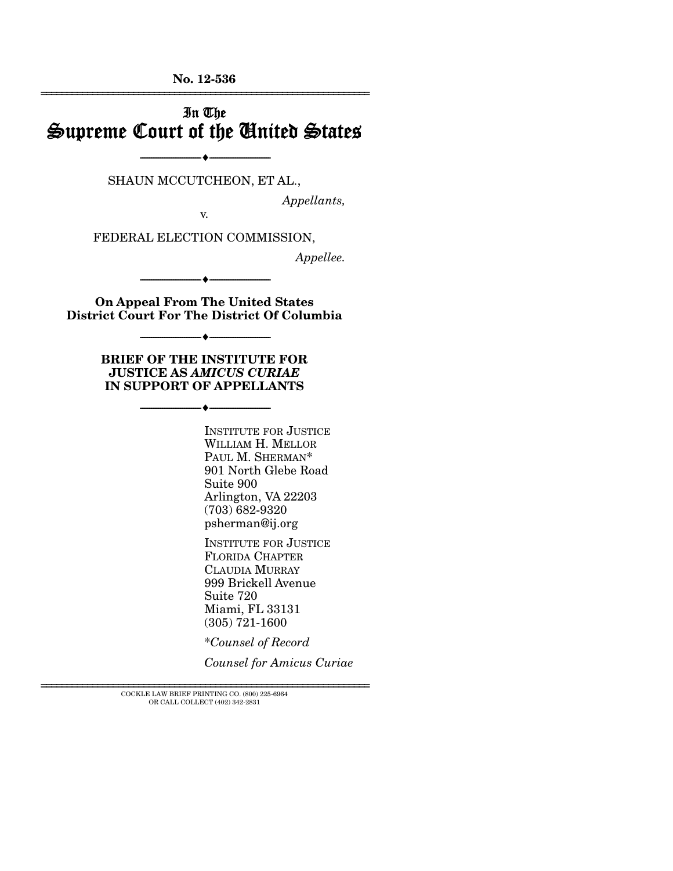**No. 12-536**  ================================================================

## In The Supreme Court of the United States

SHAUN MCCUTCHEON, ET AL.,

--------------------------------- ---------------------------------

*Appellants,* 

v.

FEDERAL ELECTION COMMISSION,

*Appellee.* 

--------------------------------- ---------------------------------

**On Appeal From The United States District Court For The District Of Columbia** 

--------------------------------- ---------------------------------

**BRIEF OF THE INSTITUTE FOR JUSTICE AS** *AMICUS CURIAE* **IN SUPPORT OF APPELLANTS** 

--------------------------------- ---------------------------------

INSTITUTE FOR JUSTICE WILLIAM H. MELLOR PAUL M. SHERMAN\* 901 North Glebe Road Suite 900 Arlington, VA 22203 (703) 682-9320 psherman@ij.org

INSTITUTE FOR JUSTICE FLORIDA CHAPTER CLAUDIA MURRAY 999 Brickell Avenue Suite 720 Miami, FL 33131 (305) 721-1600

\**Counsel of Record*

*Counsel for Amicus Curiae*

================================================================ COCKLE LAW BRIEF PRINTING CO. (800) 225-6964 OR CALL COLLECT (402) 342-2831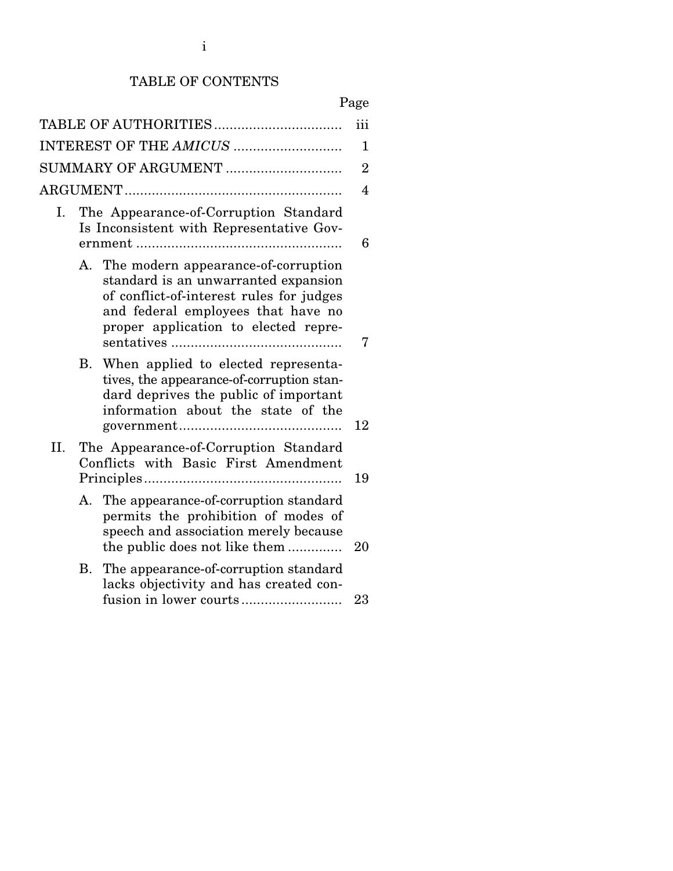## TABLE OF CONTENTS

|--|

|                     |                                                                               | TABLE OF AUTHORITIES                                                                                                                                                                                  | iii            |  |  |  |
|---------------------|-------------------------------------------------------------------------------|-------------------------------------------------------------------------------------------------------------------------------------------------------------------------------------------------------|----------------|--|--|--|
|                     | $\mathbf 1$                                                                   |                                                                                                                                                                                                       |                |  |  |  |
| SUMMARY OF ARGUMENT |                                                                               |                                                                                                                                                                                                       |                |  |  |  |
|                     |                                                                               |                                                                                                                                                                                                       | $\overline{4}$ |  |  |  |
| Ι.                  |                                                                               | The Appearance-of-Corruption Standard<br>Is Inconsistent with Representative Gov-                                                                                                                     | 6              |  |  |  |
|                     | А.                                                                            | The modern appearance-of-corruption<br>standard is an unwarranted expansion<br>of conflict-of-interest rules for judges<br>and federal employees that have no<br>proper application to elected repre- | 7              |  |  |  |
|                     | В.                                                                            | When applied to elected representa-<br>tives, the appearance-of-corruption stan-<br>dard deprives the public of important<br>information about the state of the                                       | 12             |  |  |  |
| II.                 | The Appearance-of-Corruption Standard<br>Conflicts with Basic First Amendment |                                                                                                                                                                                                       | 19             |  |  |  |
|                     |                                                                               | A. The appearance-of-corruption standard<br>permits the prohibition of modes of<br>speech and association merely because<br>the public does not like them                                             | 20             |  |  |  |
|                     | В.                                                                            | The appearance-of-corruption standard<br>lacks objectivity and has created con-<br>fusion in lower courts                                                                                             | 23             |  |  |  |
|                     |                                                                               |                                                                                                                                                                                                       |                |  |  |  |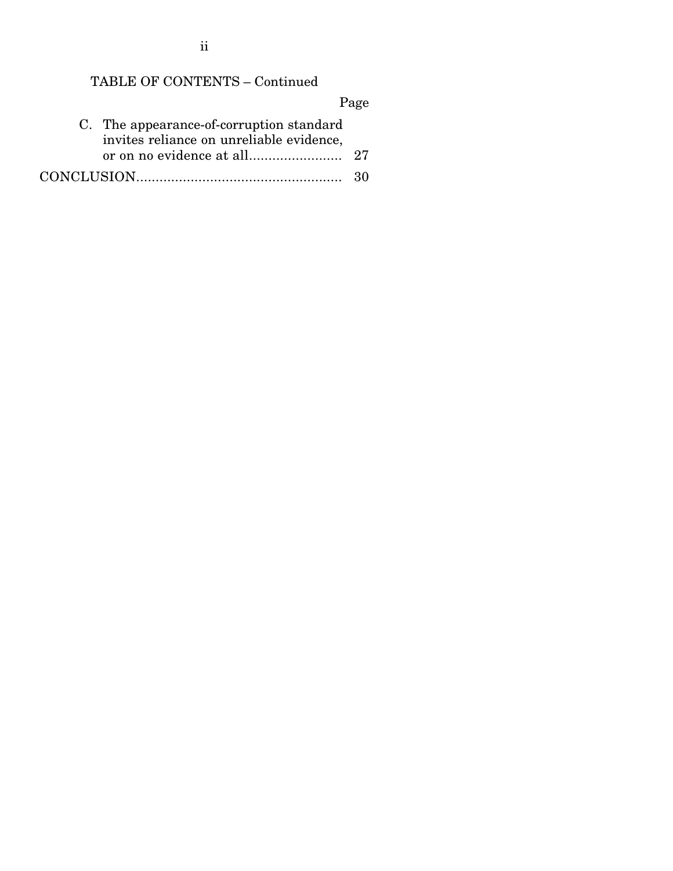ii

# TABLE OF CONTENTS – Continued

Page

| C. The appearance-of-corruption standard<br>invites reliance on unreliable evidence, |  |
|--------------------------------------------------------------------------------------|--|
|                                                                                      |  |
|                                                                                      |  |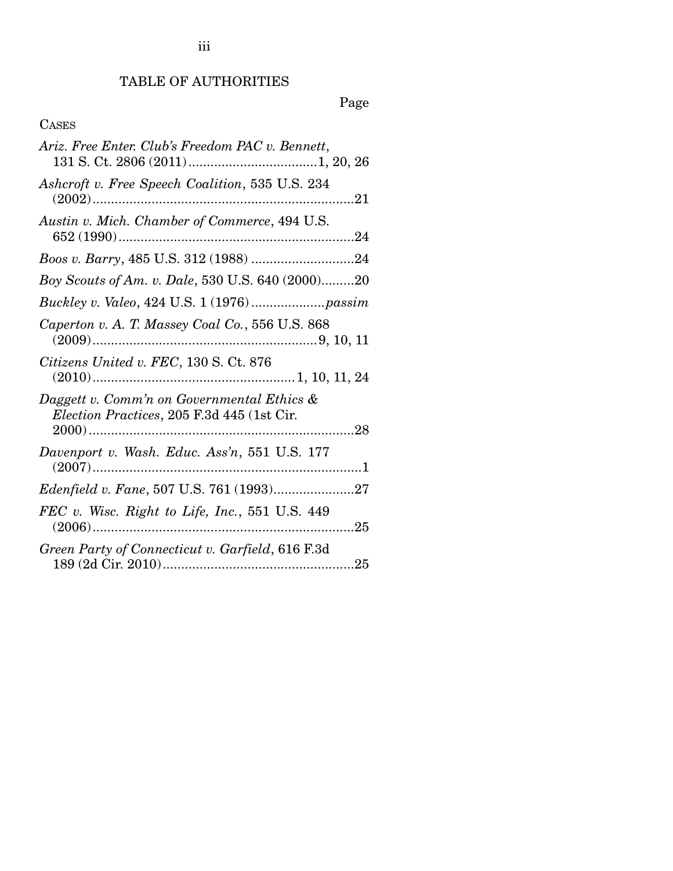# TABLE OF AUTHORITIES

Page

## CASES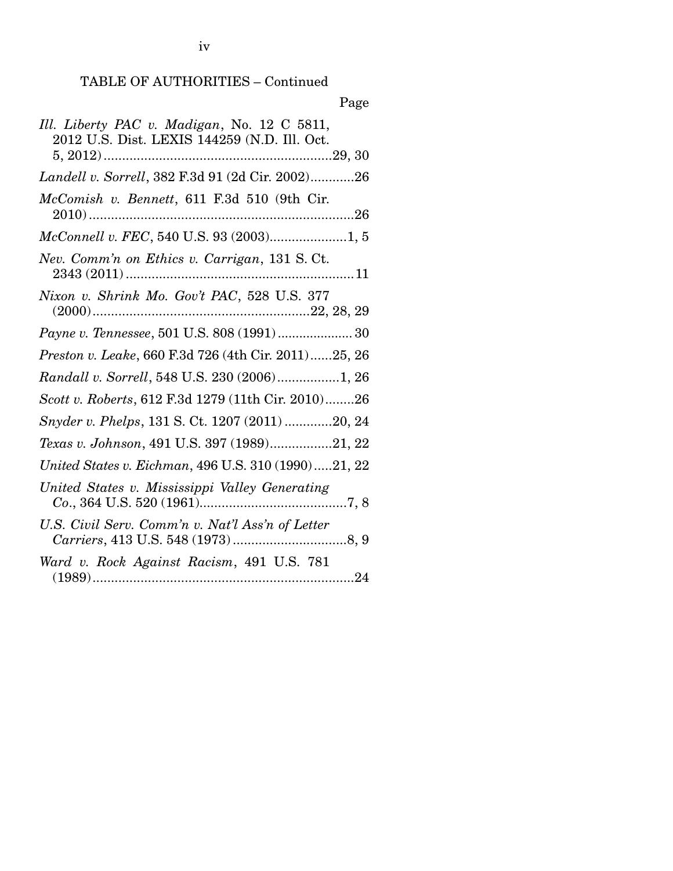## TABLE OF AUTHORITIES – Continued

| Page                                                                                        |
|---------------------------------------------------------------------------------------------|
| Ill. Liberty PAC v. Madigan, No. 12 C 5811,<br>2012 U.S. Dist. LEXIS 144259 (N.D. Ill. Oct. |
| Landell v. Sorrell, 382 F.3d 91 (2d Cir. 2002)26                                            |
| McComish v. Bennett, 611 F.3d 510 (9th Cir.                                                 |
|                                                                                             |
| Nev. Comm'n on Ethics v. Carrigan, 131 S. Ct.                                               |
| Nixon v. Shrink Mo. Gov't PAC, 528 U.S. 377                                                 |
| Payne v. Tennessee, 501 U.S. 808 (1991)  30                                                 |
| Preston v. Leake, 660 F.3d 726 (4th Cir. 2011)25, 26                                        |
| Randall v. Sorrell, 548 U.S. 230 (2006)1, 26                                                |
| Scott v. Roberts, 612 F.3d 1279 (11th Cir. 2010)26                                          |
| Snyder v. Phelps, 131 S. Ct. 1207 (2011) 20, 24                                             |
| Texas v. Johnson, 491 U.S. 397 (1989)21, 22                                                 |
| United States v. Eichman, 496 U.S. 310 (1990)21, 22                                         |
| United States v. Mississippi Valley Generating                                              |
| U.S. Civil Serv. Comm'n v. Nat'l Ass'n of Letter                                            |
| Ward v. Rock Against Racism, 491 U.S. 781<br>(1000)<br>റപ                                   |

<sup>(1989) ....................................................................... 24</sup>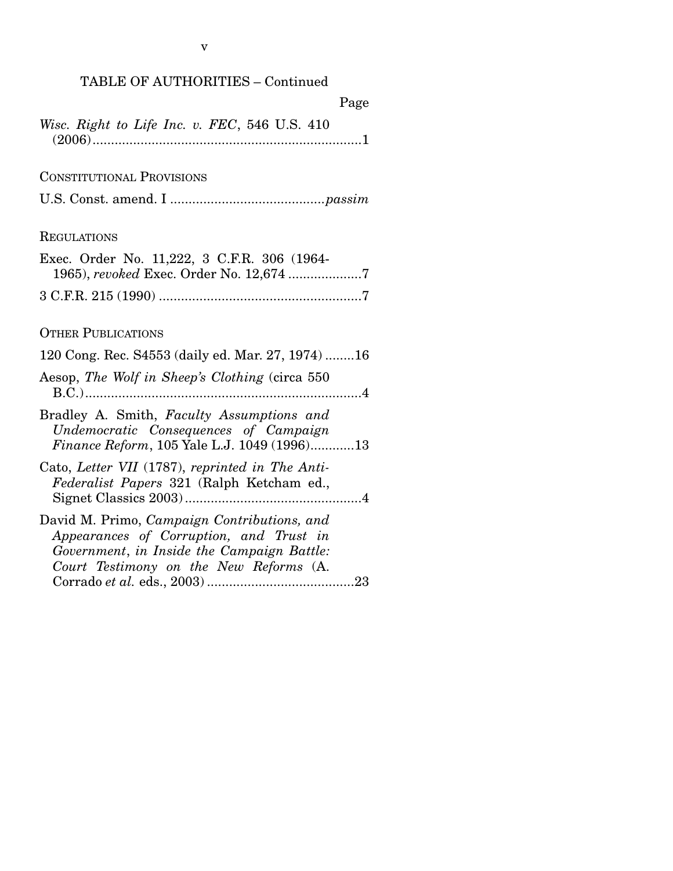v

| Page                                                                                                                                                                           |
|--------------------------------------------------------------------------------------------------------------------------------------------------------------------------------|
| Wisc. Right to Life Inc. v. FEC, 546 U.S. 410                                                                                                                                  |
| <b>CONSTITUTIONAL PROVISIONS</b>                                                                                                                                               |
|                                                                                                                                                                                |
| <b>REGULATIONS</b>                                                                                                                                                             |
| Exec. Order No. 11,222, 3 C.F.R. 306 (1964-<br>1965), revoked Exec. Order No. 12,674 7                                                                                         |
|                                                                                                                                                                                |
| <b>OTHER PUBLICATIONS</b>                                                                                                                                                      |
| 120 Cong. Rec. S4553 (daily ed. Mar. 27, 1974)16                                                                                                                               |
| Aesop, The Wolf in Sheep's Clothing (circa 550)                                                                                                                                |
| Bradley A. Smith, Faculty Assumptions and<br>Undemocratic Consequences of Campaign<br>Finance Reform, 105 Yale L.J. 1049 (1996)13                                              |
| Cato, Letter VII (1787), reprinted in The Anti-<br>Federalist Papers 321 (Ralph Ketcham ed.,                                                                                   |
| David M. Primo, Campaign Contributions, and<br>Appearances of Corruption, and Trust in<br>Government, in Inside the Campaign Battle:<br>Court Testimony on the New Reforms (A. |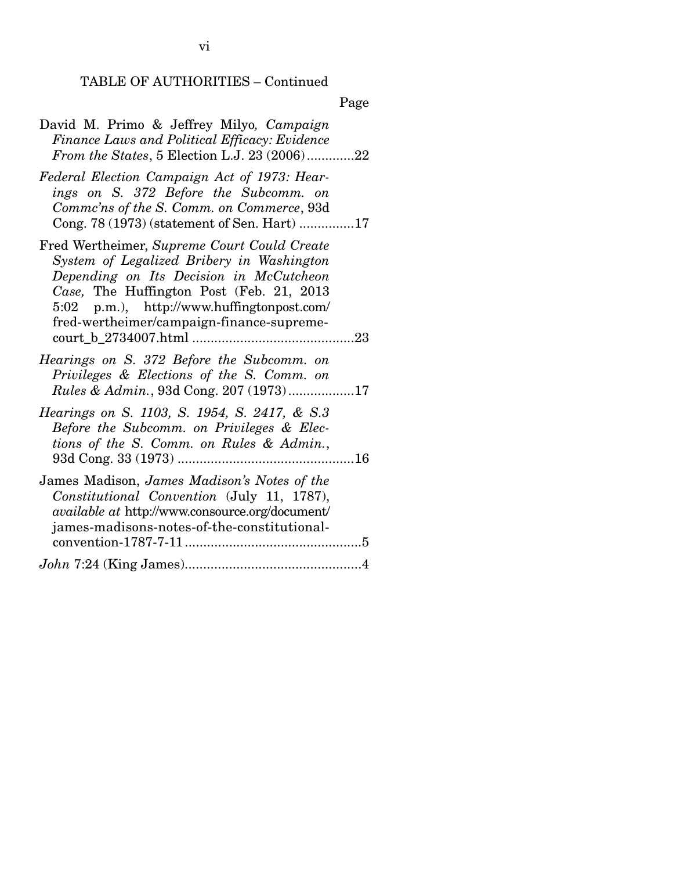TABLE OF AUTHORITIES – Continued

Page

| David M. Primo & Jeffrey Milyo, Campaign<br>Finance Laws and Political Efficacy: Evidence<br>From the States, 5 Election L.J. 23 (2006)22                                                                                                                                  |
|----------------------------------------------------------------------------------------------------------------------------------------------------------------------------------------------------------------------------------------------------------------------------|
| Federal Election Campaign Act of 1973: Hear-<br>ings on S. 372 Before the Subcomm. on<br>Commc'ns of the S. Comm. on Commerce, 93d<br>Cong. 78 (1973) (statement of Sen. Hart) 17                                                                                          |
| Fred Wertheimer, Supreme Court Could Create<br>System of Legalized Bribery in Washington<br>Depending on Its Decision in McCutcheon<br>Case, The Huffington Post (Feb. 21, 2013<br>5:02 p.m.), http://www.huffingtonpost.com/<br>fred-wertheimer/campaign-finance-supreme- |
| Hearings on S. 372 Before the Subcomm. on<br>Privileges & Elections of the S. Comm. on<br>Rules & Admin., 93d Cong. 207 (1973)17                                                                                                                                           |
| Hearings on S. 1103, S. 1954, S. 2417, & S.3<br>Before the Subcomm. on Privileges & Elec-<br>tions of the S. Comm. on Rules & Admin.,                                                                                                                                      |
| James Madison, James Madison's Notes of the<br>Constitutional Convention (July 11, 1787),<br><i>available at http://www.consource.org/document/</i><br>james-madisons-notes-of-the-constitutional-                                                                         |
|                                                                                                                                                                                                                                                                            |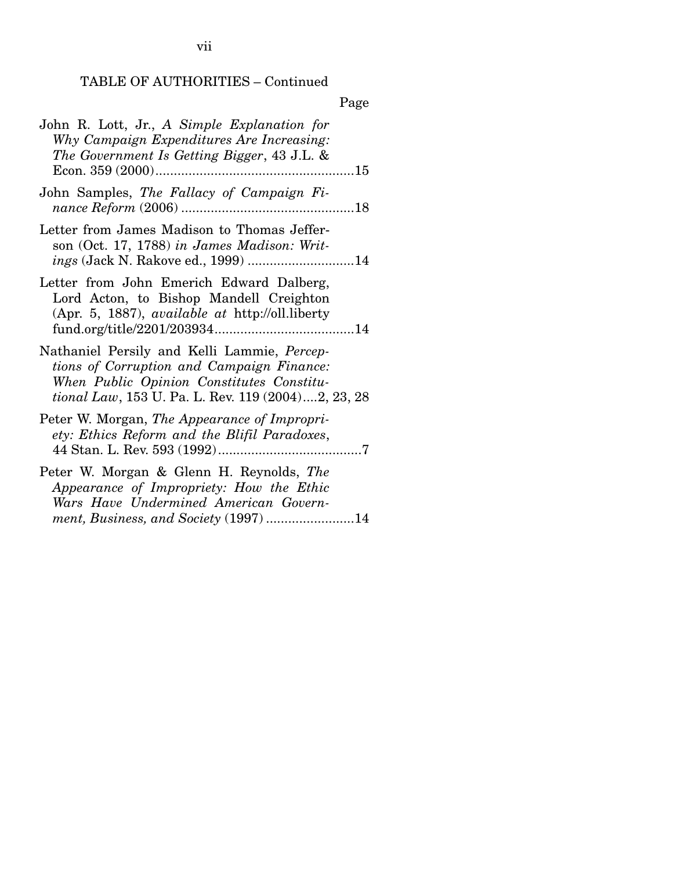## TABLE OF AUTHORITIES – Continued

## Page

| John R. Lott, Jr., A Simple Explanation for<br>Why Campaign Expenditures Are Increasing:<br>The Government Is Getting Bigger, 43 J.L. &                                                     |
|---------------------------------------------------------------------------------------------------------------------------------------------------------------------------------------------|
| John Samples, The Fallacy of Campaign Fi-                                                                                                                                                   |
| Letter from James Madison to Thomas Jeffer-<br>son (Oct. 17, 1788) in James Madison: Writ-<br>ings (Jack N. Rakove ed., 1999) 14                                                            |
| Letter from John Emerich Edward Dalberg,<br>Lord Acton, to Bishop Mandell Creighton<br>(Apr. 5, 1887), <i>available at http://oll.liberty</i>                                               |
| Nathaniel Persily and Kelli Lammie, Percep-<br>tions of Corruption and Campaign Finance:<br>When Public Opinion Constitutes Constitu-<br>tional Law, 153 U. Pa. L. Rev. 119 (2004)2, 23, 28 |
| Peter W. Morgan, The Appearance of Impropri-<br>ety: Ethics Reform and the Blifil Paradoxes,                                                                                                |
| Peter W. Morgan & Glenn H. Reynolds, The<br>Appearance of Impropriety: How the Ethic<br>Wars Have Undermined American Govern-<br>ment, Business, and Society (1997) 14                      |

vii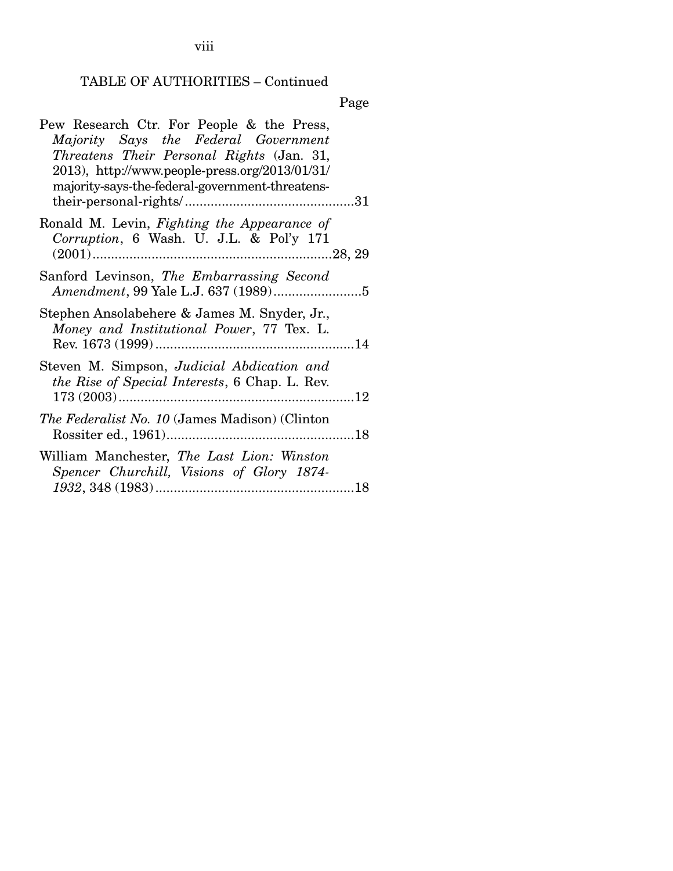viii

# TABLE OF AUTHORITIES – Continued

Page

| Pew Research Ctr. For People & the Press,<br>Majority Says the Federal Government<br>Threatens Their Personal Rights (Jan. 31,<br>$2013$ , http://www.people-press.org/2013/01/31/<br>majority-says-the-federal-government-threatens- |
|---------------------------------------------------------------------------------------------------------------------------------------------------------------------------------------------------------------------------------------|
| Ronald M. Levin, Fighting the Appearance of<br>Corruption, 6 Wash. U. J.L. & Pol'y 171                                                                                                                                                |
| Sanford Levinson, The Embarrassing Second                                                                                                                                                                                             |
| Stephen Ansolabehere & James M. Snyder, Jr.,<br>Money and Institutional Power, 77 Tex. L.                                                                                                                                             |
| Steven M. Simpson, Judicial Abdication and<br><i>the Rise of Special Interests, 6 Chap. L. Rev.</i>                                                                                                                                   |
| <i>The Federalist No. 10</i> (James Madison) (Clinton                                                                                                                                                                                 |
| William Manchester, The Last Lion: Winston<br>Spencer Churchill, Visions of Glory 1874-                                                                                                                                               |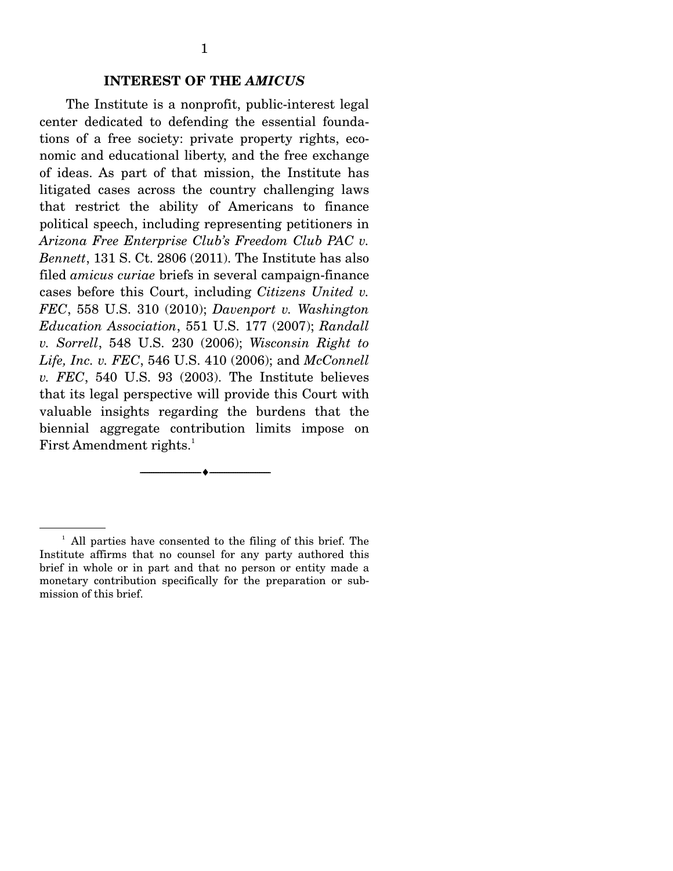The Institute is a nonprofit, public-interest legal center dedicated to defending the essential foundations of a free society: private property rights, economic and educational liberty, and the free exchange of ideas. As part of that mission, the Institute has litigated cases across the country challenging laws that restrict the ability of Americans to finance political speech, including representing petitioners in *Arizona Free Enterprise Club's Freedom Club PAC v. Bennett*, 131 S. Ct. 2806 (2011). The Institute has also filed *amicus curiae* briefs in several campaign-finance cases before this Court, including *Citizens United v. FEC*, 558 U.S. 310 (2010); *Davenport v. Washington Education Association*, 551 U.S. 177 (2007); *Randall v. Sorrell*, 548 U.S. 230 (2006); *Wisconsin Right to Life, Inc. v. FEC*, 546 U.S. 410 (2006); and *McConnell v. FEC*, 540 U.S. 93 (2003). The Institute believes that its legal perspective will provide this Court with valuable insights regarding the burdens that the biennial aggregate contribution limits impose on First Amendment rights.<sup>1</sup>

--------------------------------- ---------------------------------

<sup>&</sup>lt;sup>1</sup> All parties have consented to the filing of this brief. The Institute affirms that no counsel for any party authored this brief in whole or in part and that no person or entity made a monetary contribution specifically for the preparation or submission of this brief.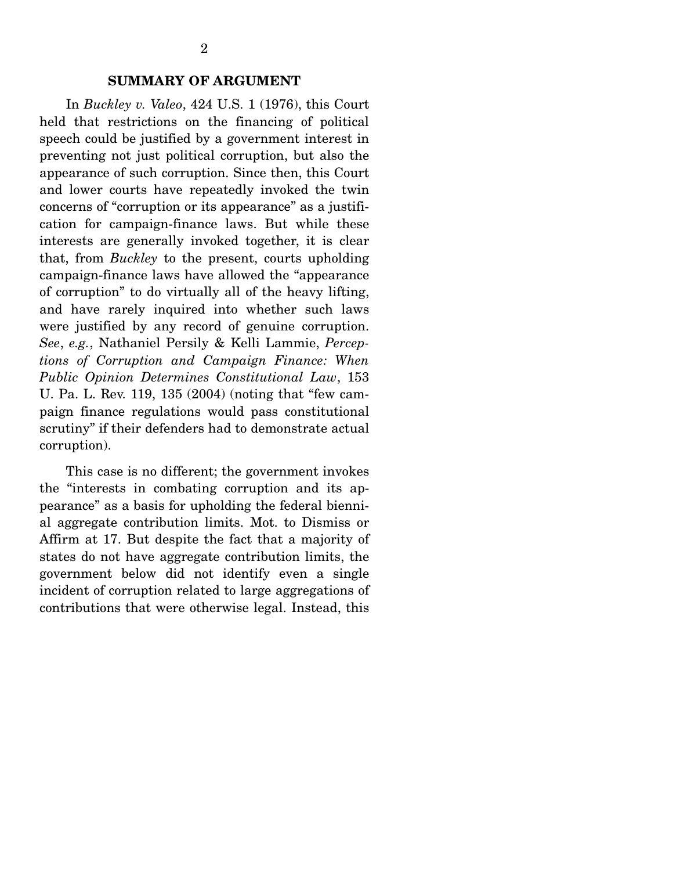### **SUMMARY OF ARGUMENT**

 In *Buckley v. Valeo*, 424 U.S. 1 (1976), this Court held that restrictions on the financing of political speech could be justified by a government interest in preventing not just political corruption, but also the appearance of such corruption. Since then, this Court and lower courts have repeatedly invoked the twin concerns of "corruption or its appearance" as a justification for campaign-finance laws. But while these interests are generally invoked together, it is clear that, from *Buckley* to the present, courts upholding campaign-finance laws have allowed the "appearance of corruption" to do virtually all of the heavy lifting, and have rarely inquired into whether such laws were justified by any record of genuine corruption. *See*, *e.g.*, Nathaniel Persily & Kelli Lammie, *Perceptions of Corruption and Campaign Finance: When Public Opinion Determines Constitutional Law*, 153 U. Pa. L. Rev. 119, 135 (2004) (noting that "few campaign finance regulations would pass constitutional scrutiny" if their defenders had to demonstrate actual corruption).

 This case is no different; the government invokes the "interests in combating corruption and its appearance" as a basis for upholding the federal biennial aggregate contribution limits. Mot. to Dismiss or Affirm at 17. But despite the fact that a majority of states do not have aggregate contribution limits, the government below did not identify even a single incident of corruption related to large aggregations of contributions that were otherwise legal. Instead, this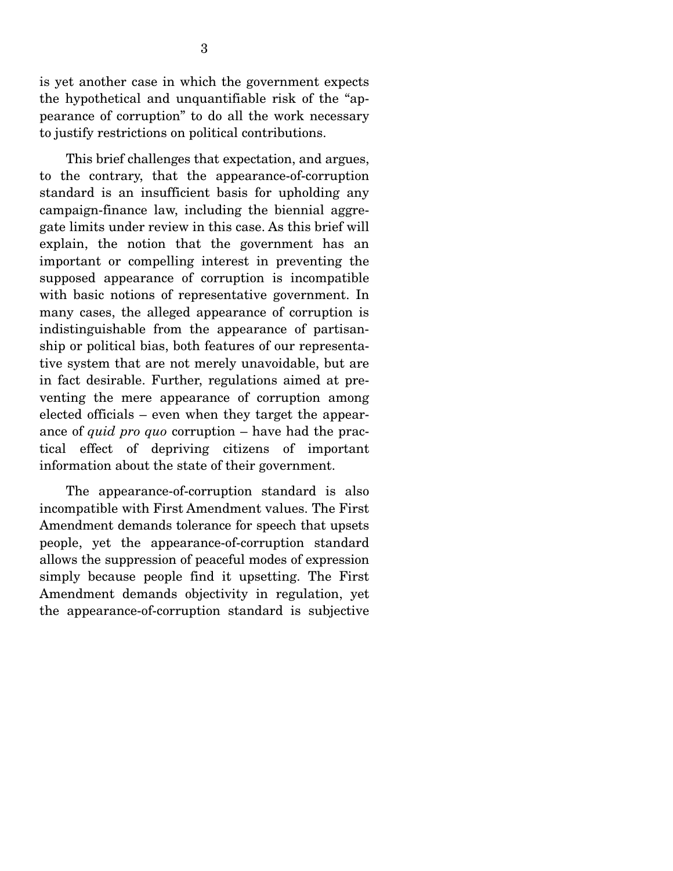is yet another case in which the government expects the hypothetical and unquantifiable risk of the "appearance of corruption" to do all the work necessary to justify restrictions on political contributions.

 This brief challenges that expectation, and argues, to the contrary, that the appearance-of-corruption standard is an insufficient basis for upholding any campaign-finance law, including the biennial aggregate limits under review in this case. As this brief will explain, the notion that the government has an important or compelling interest in preventing the supposed appearance of corruption is incompatible with basic notions of representative government. In many cases, the alleged appearance of corruption is indistinguishable from the appearance of partisanship or political bias, both features of our representative system that are not merely unavoidable, but are in fact desirable. Further, regulations aimed at preventing the mere appearance of corruption among elected officials – even when they target the appearance of *quid pro quo* corruption – have had the practical effect of depriving citizens of important information about the state of their government.

 The appearance-of-corruption standard is also incompatible with First Amendment values. The First Amendment demands tolerance for speech that upsets people, yet the appearance-of-corruption standard allows the suppression of peaceful modes of expression simply because people find it upsetting. The First Amendment demands objectivity in regulation, yet the appearance-of-corruption standard is subjective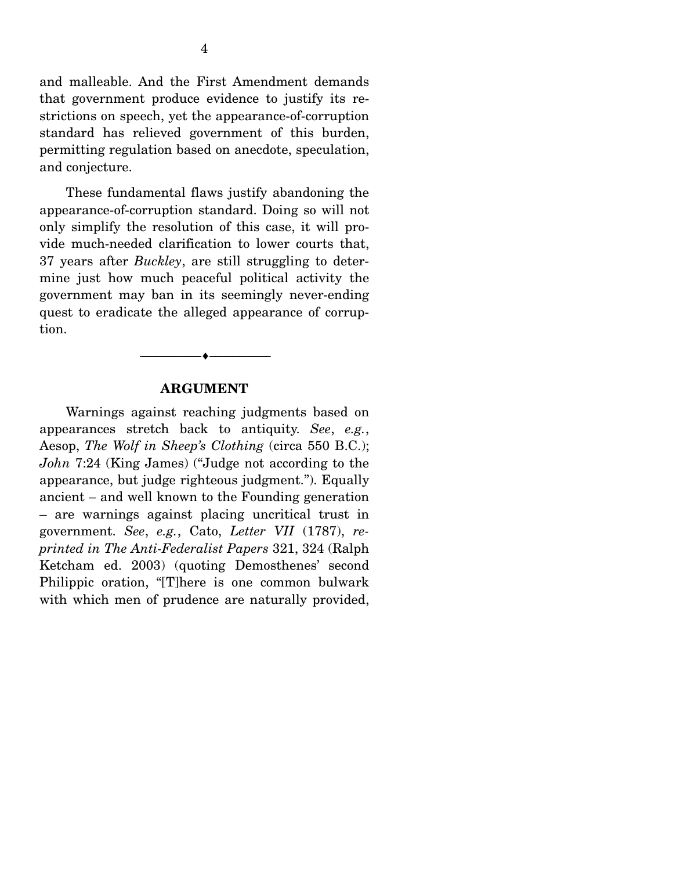and malleable. And the First Amendment demands that government produce evidence to justify its restrictions on speech, yet the appearance-of-corruption standard has relieved government of this burden, permitting regulation based on anecdote, speculation, and conjecture.

 These fundamental flaws justify abandoning the appearance-of-corruption standard. Doing so will not only simplify the resolution of this case, it will provide much-needed clarification to lower courts that, 37 years after *Buckley*, are still struggling to determine just how much peaceful political activity the government may ban in its seemingly never-ending quest to eradicate the alleged appearance of corruption.

#### **ARGUMENT**

--------------------------------- ---------------------------------

 Warnings against reaching judgments based on appearances stretch back to antiquity. *See*, *e.g.*, Aesop, *The Wolf in Sheep's Clothing* (circa 550 B.C.); *John* 7:24 (King James) ("Judge not according to the appearance, but judge righteous judgment."). Equally ancient – and well known to the Founding generation – are warnings against placing uncritical trust in government. *See*, *e.g.*, Cato, *Letter VII* (1787), *reprinted in The Anti-Federalist Papers* 321, 324 (Ralph Ketcham ed. 2003) (quoting Demosthenes' second Philippic oration, "[T]here is one common bulwark with which men of prudence are naturally provided,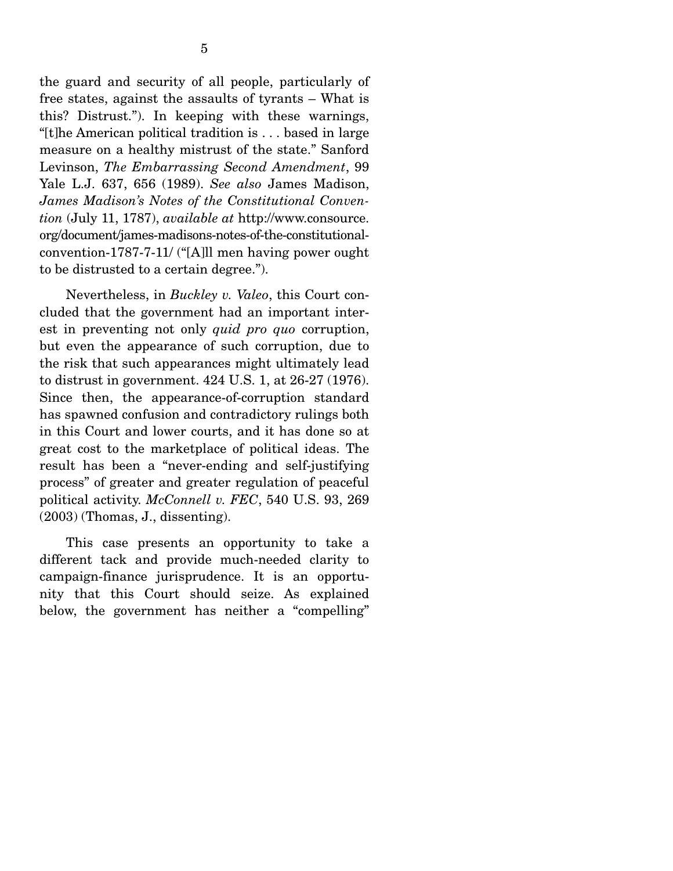the guard and security of all people, particularly of free states, against the assaults of tyrants – What is this? Distrust."). In keeping with these warnings, "[t]he American political tradition is . . . based in large measure on a healthy mistrust of the state." Sanford Levinson, *The Embarrassing Second Amendment*, 99 Yale L.J. 637, 656 (1989). *See also* James Madison, *James Madison's Notes of the Constitutional Convention* (July 11, 1787), *available at* http://www.consource. org/document/james-madisons-notes-of-the-constitutionalconvention-1787-7-11/ ("[A]ll men having power ought to be distrusted to a certain degree.").

 Nevertheless, in *Buckley v. Valeo*, this Court concluded that the government had an important interest in preventing not only *quid pro quo* corruption, but even the appearance of such corruption, due to the risk that such appearances might ultimately lead to distrust in government. 424 U.S. 1, at 26-27 (1976). Since then, the appearance-of-corruption standard has spawned confusion and contradictory rulings both in this Court and lower courts, and it has done so at great cost to the marketplace of political ideas. The result has been a "never-ending and self-justifying process" of greater and greater regulation of peaceful political activity. *McConnell v. FEC*, 540 U.S. 93, 269 (2003) (Thomas, J., dissenting).

 This case presents an opportunity to take a different tack and provide much-needed clarity to campaign-finance jurisprudence. It is an opportunity that this Court should seize. As explained below, the government has neither a "compelling"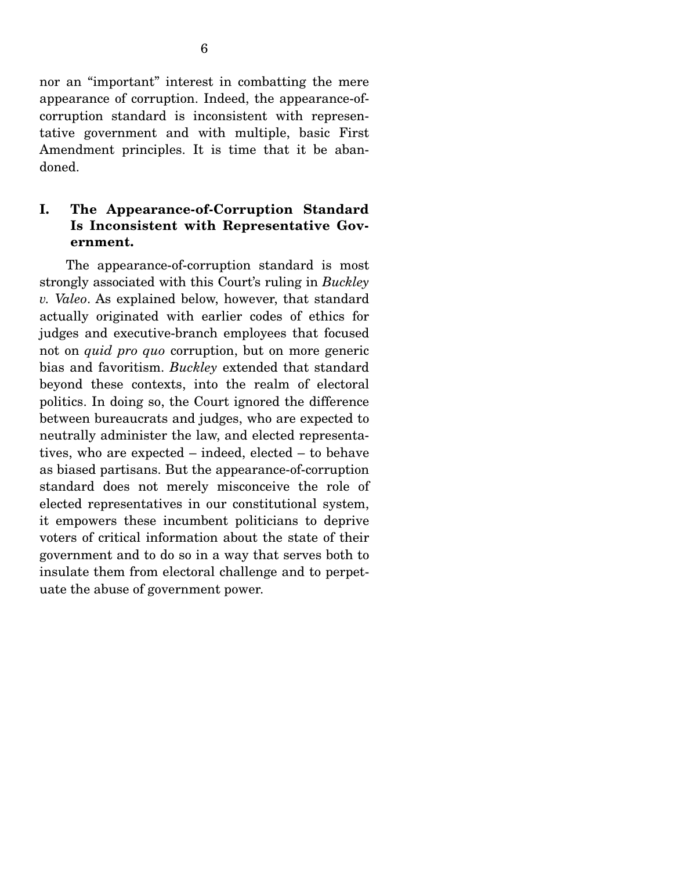nor an "important" interest in combatting the mere appearance of corruption. Indeed, the appearance-ofcorruption standard is inconsistent with representative government and with multiple, basic First Amendment principles. It is time that it be abandoned.

## **I. The Appearance-of-Corruption Standard Is Inconsistent with Representative Government.**

 The appearance-of-corruption standard is most strongly associated with this Court's ruling in *Buckley v. Valeo*. As explained below, however, that standard actually originated with earlier codes of ethics for judges and executive-branch employees that focused not on *quid pro quo* corruption, but on more generic bias and favoritism. *Buckley* extended that standard beyond these contexts, into the realm of electoral politics. In doing so, the Court ignored the difference between bureaucrats and judges, who are expected to neutrally administer the law, and elected representatives, who are expected – indeed, elected – to behave as biased partisans. But the appearance-of-corruption standard does not merely misconceive the role of elected representatives in our constitutional system, it empowers these incumbent politicians to deprive voters of critical information about the state of their government and to do so in a way that serves both to insulate them from electoral challenge and to perpetuate the abuse of government power.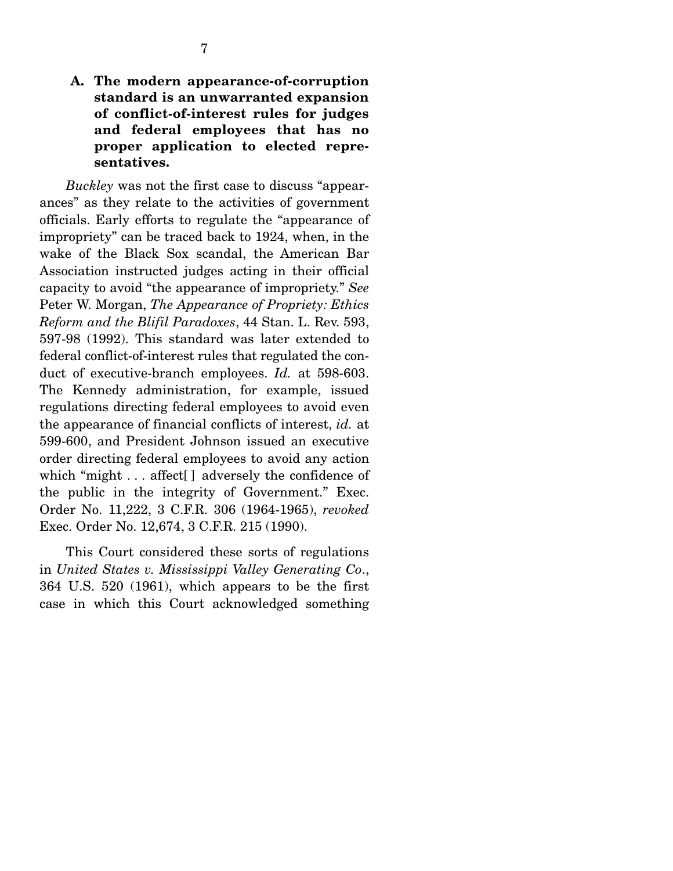## **A. The modern appearance-of-corruption standard is an unwarranted expansion of conflict-of-interest rules for judges and federal employees that has no proper application to elected representatives.**

*Buckley* was not the first case to discuss "appearances" as they relate to the activities of government officials. Early efforts to regulate the "appearance of impropriety" can be traced back to 1924, when, in the wake of the Black Sox scandal, the American Bar Association instructed judges acting in their official capacity to avoid "the appearance of impropriety." *See* Peter W. Morgan, *The Appearance of Propriety: Ethics Reform and the Blifil Paradoxes*, 44 Stan. L. Rev. 593, 597-98 (1992). This standard was later extended to federal conflict-of-interest rules that regulated the conduct of executive-branch employees. *Id.* at 598-603. The Kennedy administration, for example, issued regulations directing federal employees to avoid even the appearance of financial conflicts of interest, *id.* at 599-600, and President Johnson issued an executive order directing federal employees to avoid any action which "might . . . affect | adversely the confidence of the public in the integrity of Government." Exec. Order No. 11,222, 3 C.F.R. 306 (1964-1965), *revoked* Exec. Order No. 12,674, 3 C.F.R. 215 (1990).

 This Court considered these sorts of regulations in *United States v. Mississippi Valley Generating Co*., 364 U.S. 520 (1961), which appears to be the first case in which this Court acknowledged something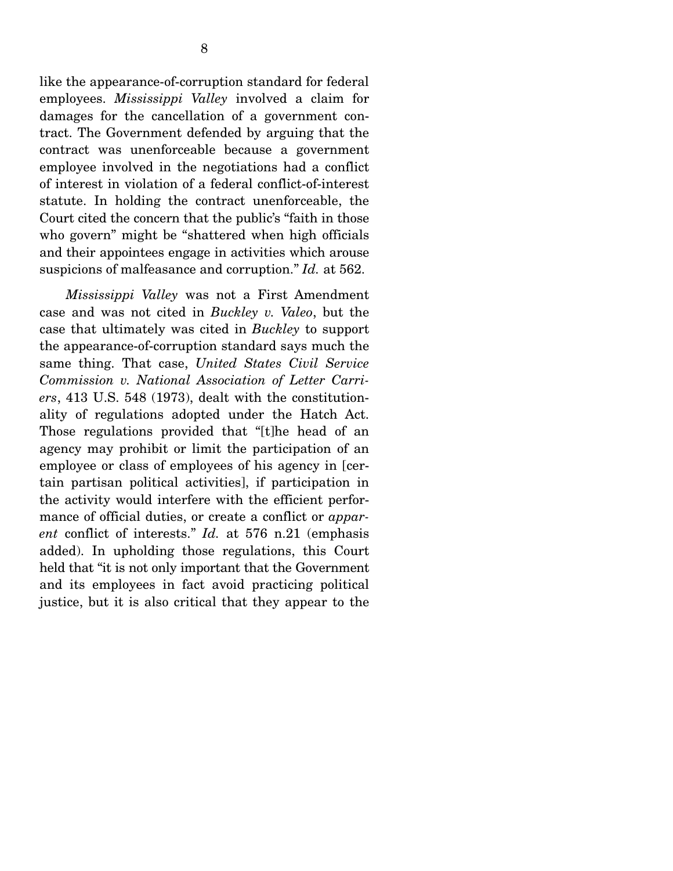tract. The Government defended by arguing that the contract was unenforceable because a government employee involved in the negotiations had a conflict of interest in violation of a federal conflict-of-interest statute. In holding the contract unenforceable, the Court cited the concern that the public's "faith in those who govern" might be "shattered when high officials and their appointees engage in activities which arouse suspicions of malfeasance and corruption." *Id.* at 562.

*Mississippi Valley* was not a First Amendment case and was not cited in *Buckley v. Valeo*, but the case that ultimately was cited in *Buckley* to support the appearance-of-corruption standard says much the same thing. That case, *United States Civil Service Commission v. National Association of Letter Carriers*, 413 U.S. 548 (1973), dealt with the constitutionality of regulations adopted under the Hatch Act. Those regulations provided that "[t]he head of an agency may prohibit or limit the participation of an employee or class of employees of his agency in [certain partisan political activities], if participation in the activity would interfere with the efficient performance of official duties, or create a conflict or *apparent* conflict of interests." *Id.* at 576 n.21 (emphasis added). In upholding those regulations, this Court held that "it is not only important that the Government and its employees in fact avoid practicing political justice, but it is also critical that they appear to the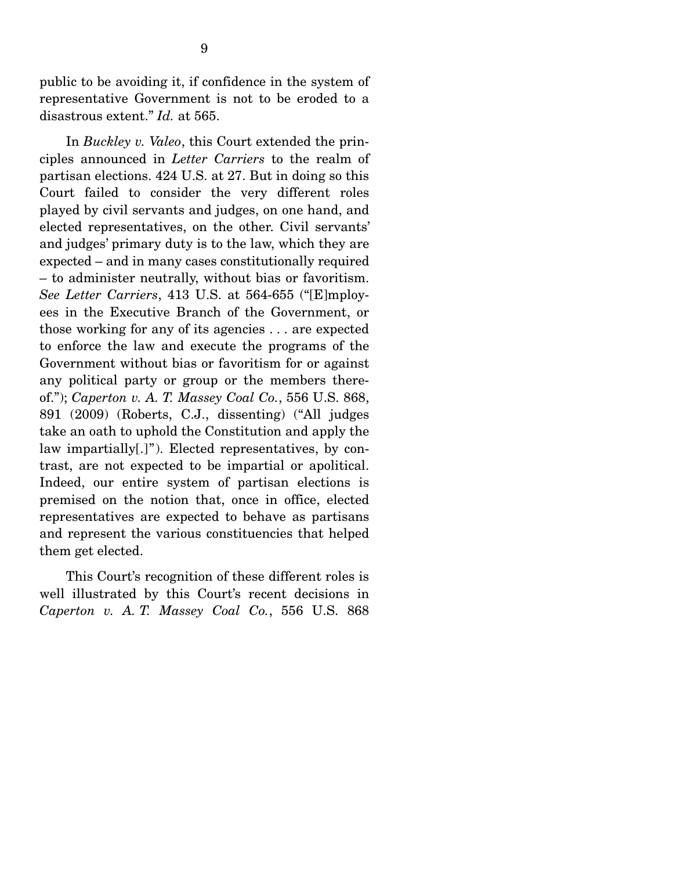public to be avoiding it, if confidence in the system of representative Government is not to be eroded to a disastrous extent." *Id.* at 565.

 In *Buckley v. Valeo*, this Court extended the principles announced in *Letter Carriers* to the realm of partisan elections. 424 U.S. at 27. But in doing so this Court failed to consider the very different roles played by civil servants and judges, on one hand, and elected representatives, on the other. Civil servants' and judges' primary duty is to the law, which they are expected – and in many cases constitutionally required – to administer neutrally, without bias or favoritism. *See Letter Carriers*, 413 U.S. at 564-655 ("[E]mployees in the Executive Branch of the Government, or those working for any of its agencies . . . are expected to enforce the law and execute the programs of the Government without bias or favoritism for or against any political party or group or the members thereof."); *Caperton v. A. T. Massey Coal Co.*, 556 U.S. 868, 891 (2009) (Roberts, C.J., dissenting) ("All judges take an oath to uphold the Constitution and apply the law impartially[.]"). Elected representatives, by contrast, are not expected to be impartial or apolitical. Indeed, our entire system of partisan elections is premised on the notion that, once in office, elected representatives are expected to behave as partisans and represent the various constituencies that helped them get elected.

 This Court's recognition of these different roles is well illustrated by this Court's recent decisions in *Caperton v. A. T. Massey Coal Co.*, 556 U.S. 868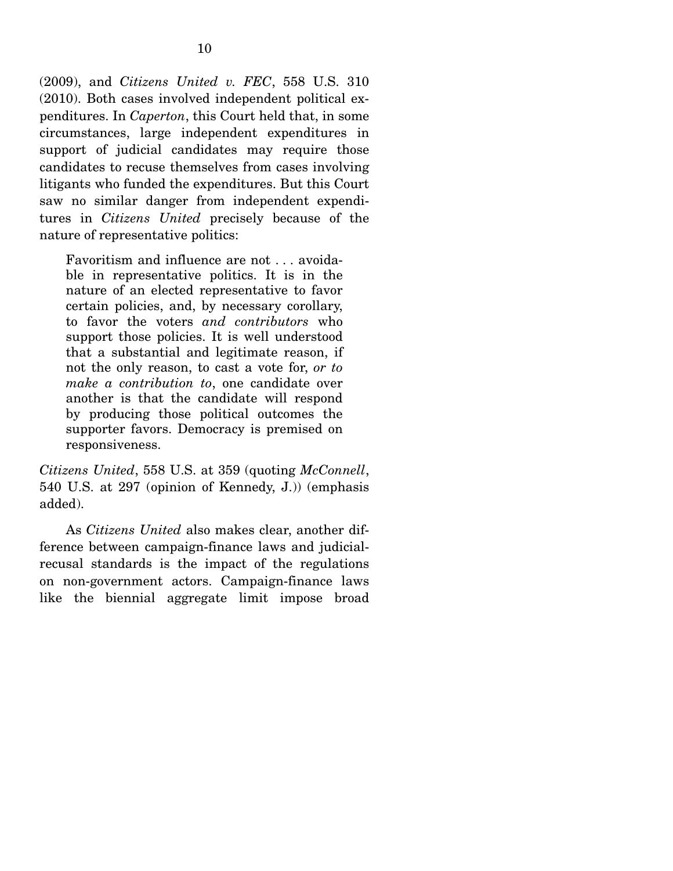(2009), and *Citizens United v. FEC*, 558 U.S. 310 (2010). Both cases involved independent political expenditures. In *Caperton*, this Court held that, in some circumstances, large independent expenditures in support of judicial candidates may require those candidates to recuse themselves from cases involving litigants who funded the expenditures. But this Court saw no similar danger from independent expenditures in *Citizens United* precisely because of the nature of representative politics:

Favoritism and influence are not . . . avoidable in representative politics. It is in the nature of an elected representative to favor certain policies, and, by necessary corollary, to favor the voters *and contributors* who support those policies. It is well understood that a substantial and legitimate reason, if not the only reason, to cast a vote for, *or to make a contribution to*, one candidate over another is that the candidate will respond by producing those political outcomes the supporter favors. Democracy is premised on responsiveness.

*Citizens United*, 558 U.S. at 359 (quoting *McConnell*, 540 U.S. at 297 (opinion of Kennedy, J.)) (emphasis added).

 As *Citizens United* also makes clear, another difference between campaign-finance laws and judicialrecusal standards is the impact of the regulations on non-government actors. Campaign-finance laws like the biennial aggregate limit impose broad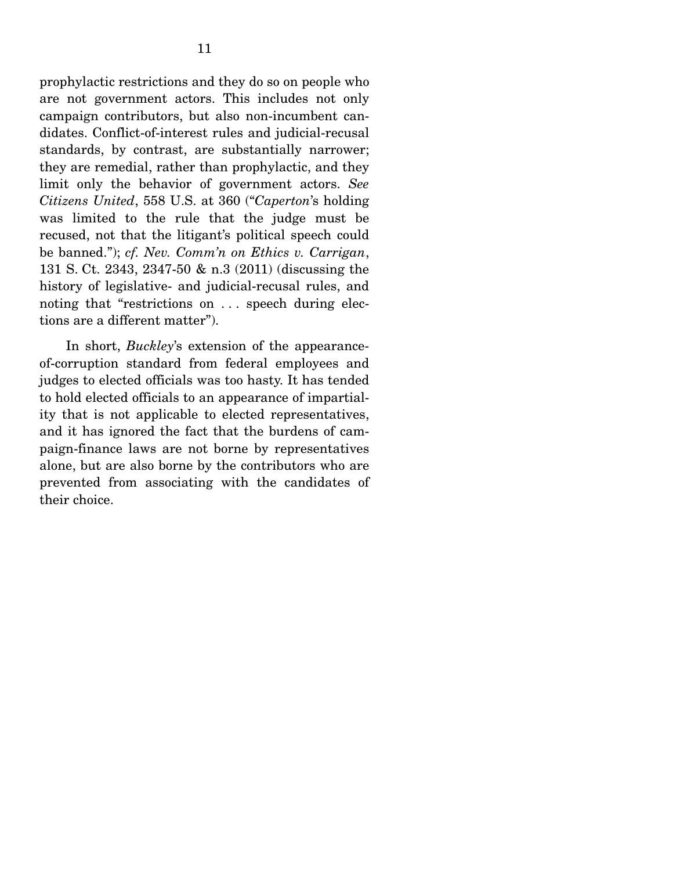prophylactic restrictions and they do so on people who are not government actors. This includes not only campaign contributors, but also non-incumbent candidates. Conflict-of-interest rules and judicial-recusal standards, by contrast, are substantially narrower; they are remedial, rather than prophylactic, and they limit only the behavior of government actors. *See Citizens United*, 558 U.S. at 360 ("*Caperton*'s holding was limited to the rule that the judge must be recused, not that the litigant's political speech could be banned."); *cf. Nev. Comm'n on Ethics v. Carrigan*, 131 S. Ct. 2343, 2347-50 & n.3 (2011) (discussing the history of legislative- and judicial-recusal rules, and noting that "restrictions on . . . speech during elections are a different matter").

 In short, *Buckley*'s extension of the appearanceof-corruption standard from federal employees and judges to elected officials was too hasty. It has tended to hold elected officials to an appearance of impartiality that is not applicable to elected representatives, and it has ignored the fact that the burdens of campaign-finance laws are not borne by representatives alone, but are also borne by the contributors who are prevented from associating with the candidates of their choice.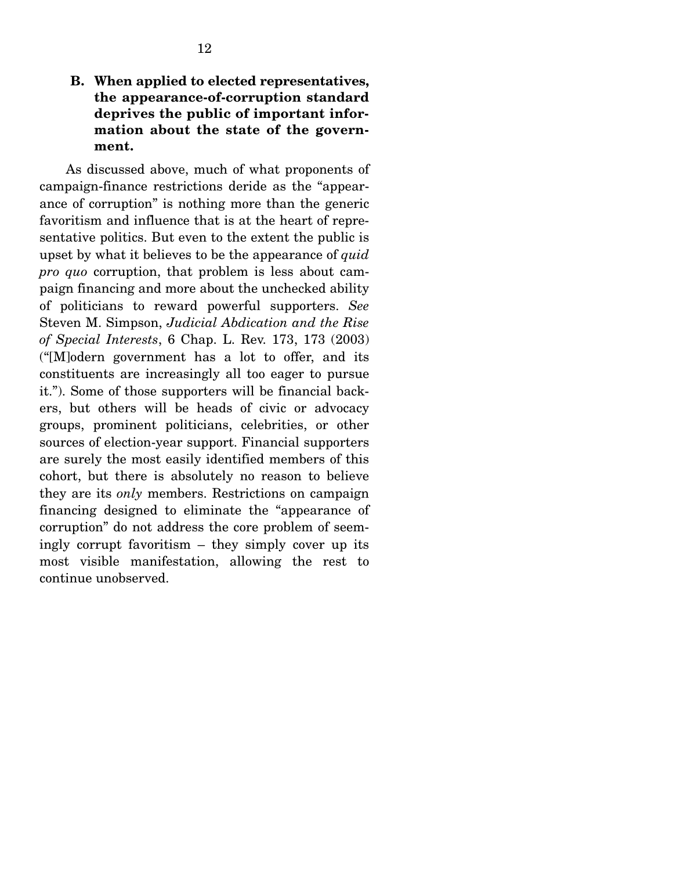## **B. When applied to elected representatives, the appearance-of-corruption standard deprives the public of important information about the state of the government.**

 As discussed above, much of what proponents of campaign-finance restrictions deride as the "appearance of corruption" is nothing more than the generic favoritism and influence that is at the heart of representative politics. But even to the extent the public is upset by what it believes to be the appearance of *quid pro quo* corruption, that problem is less about campaign financing and more about the unchecked ability of politicians to reward powerful supporters. *See*  Steven M. Simpson, *Judicial Abdication and the Rise of Special Interests*, 6 Chap. L. Rev. 173, 173 (2003) ("[M]odern government has a lot to offer, and its constituents are increasingly all too eager to pursue it."). Some of those supporters will be financial backers, but others will be heads of civic or advocacy groups, prominent politicians, celebrities, or other sources of election-year support. Financial supporters are surely the most easily identified members of this cohort, but there is absolutely no reason to believe they are its *only* members. Restrictions on campaign financing designed to eliminate the "appearance of corruption" do not address the core problem of seemingly corrupt favoritism – they simply cover up its most visible manifestation, allowing the rest to continue unobserved.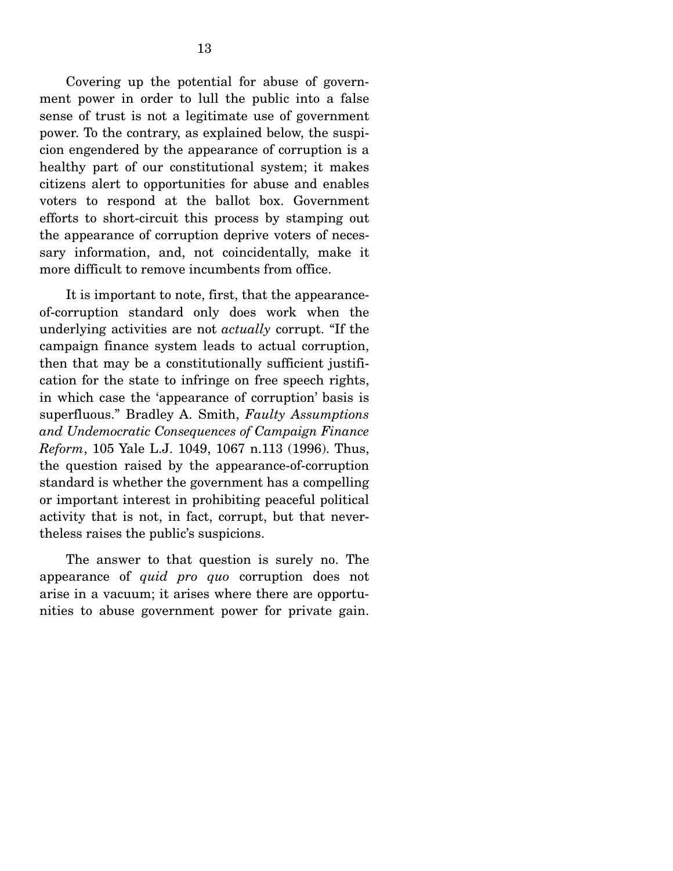Covering up the potential for abuse of government power in order to lull the public into a false sense of trust is not a legitimate use of government power. To the contrary, as explained below, the suspicion engendered by the appearance of corruption is a healthy part of our constitutional system; it makes citizens alert to opportunities for abuse and enables voters to respond at the ballot box. Government efforts to short-circuit this process by stamping out the appearance of corruption deprive voters of necessary information, and, not coincidentally, make it more difficult to remove incumbents from office.

 It is important to note, first, that the appearanceof-corruption standard only does work when the underlying activities are not *actually* corrupt. "If the campaign finance system leads to actual corruption, then that may be a constitutionally sufficient justification for the state to infringe on free speech rights, in which case the 'appearance of corruption' basis is superfluous." Bradley A. Smith, *Faulty Assumptions and Undemocratic Consequences of Campaign Finance Reform*, 105 Yale L.J. 1049, 1067 n.113 (1996). Thus, the question raised by the appearance-of-corruption standard is whether the government has a compelling or important interest in prohibiting peaceful political activity that is not, in fact, corrupt, but that nevertheless raises the public's suspicions.

 The answer to that question is surely no. The appearance of *quid pro quo* corruption does not arise in a vacuum; it arises where there are opportunities to abuse government power for private gain.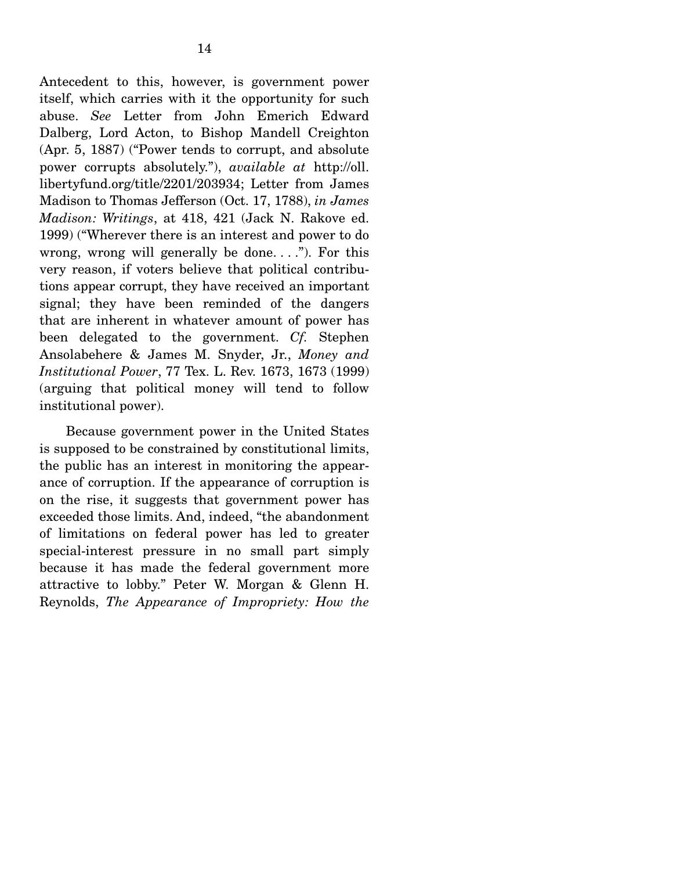Antecedent to this, however, is government power itself, which carries with it the opportunity for such abuse. *See* Letter from John Emerich Edward Dalberg, Lord Acton, to Bishop Mandell Creighton (Apr. 5, 1887) ("Power tends to corrupt, and absolute power corrupts absolutely."), *available at* http://oll. libertyfund.org/title/2201/203934; Letter from James Madison to Thomas Jefferson (Oct. 17, 1788), *in James Madison: Writings*, at 418, 421 (Jack N. Rakove ed. 1999) ("Wherever there is an interest and power to do wrong, wrong will generally be done...."). For this very reason, if voters believe that political contributions appear corrupt, they have received an important signal; they have been reminded of the dangers that are inherent in whatever amount of power has been delegated to the government. *Cf.* Stephen Ansolabehere & James M. Snyder, Jr., *Money and Institutional Power*, 77 Tex. L. Rev. 1673, 1673 (1999) (arguing that political money will tend to follow institutional power).

 Because government power in the United States is supposed to be constrained by constitutional limits, the public has an interest in monitoring the appearance of corruption. If the appearance of corruption is on the rise, it suggests that government power has exceeded those limits. And, indeed, "the abandonment of limitations on federal power has led to greater special-interest pressure in no small part simply because it has made the federal government more attractive to lobby." Peter W. Morgan & Glenn H. Reynolds, *The Appearance of Impropriety: How the*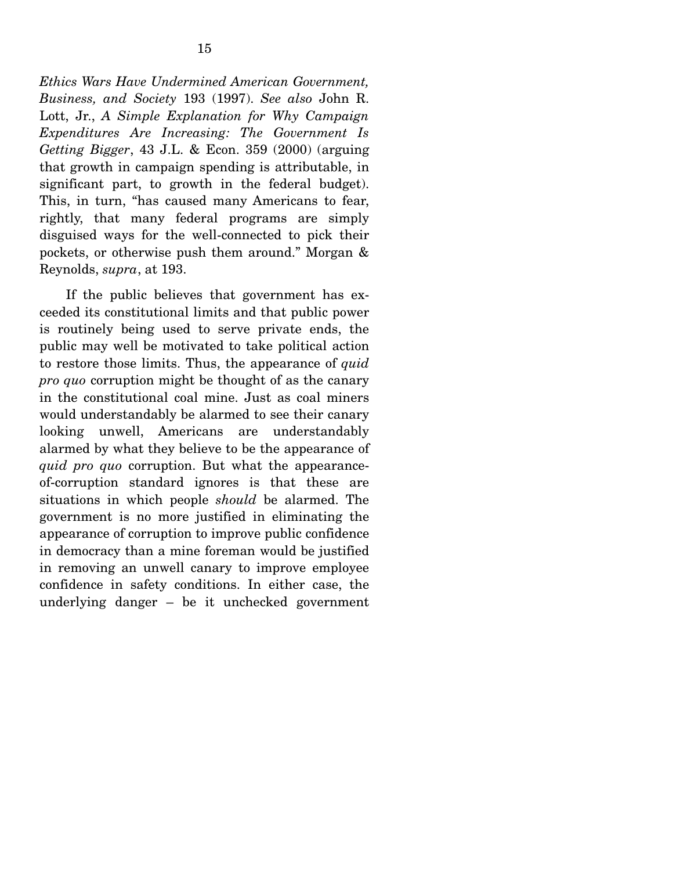*Ethics Wars Have Undermined American Government, Business, and Society* 193 (1997). *See also* John R. Lott, Jr., *A Simple Explanation for Why Campaign Expenditures Are Increasing: The Government Is Getting Bigger*, 43 J.L. & Econ. 359 (2000) (arguing that growth in campaign spending is attributable, in significant part, to growth in the federal budget). This, in turn, "has caused many Americans to fear, rightly, that many federal programs are simply disguised ways for the well-connected to pick their pockets, or otherwise push them around." Morgan & Reynolds, *supra*, at 193.

 If the public believes that government has exceeded its constitutional limits and that public power is routinely being used to serve private ends, the public may well be motivated to take political action to restore those limits. Thus, the appearance of *quid pro quo* corruption might be thought of as the canary in the constitutional coal mine. Just as coal miners would understandably be alarmed to see their canary looking unwell, Americans are understandably alarmed by what they believe to be the appearance of *quid pro quo* corruption. But what the appearanceof-corruption standard ignores is that these are situations in which people *should* be alarmed. The government is no more justified in eliminating the appearance of corruption to improve public confidence in democracy than a mine foreman would be justified in removing an unwell canary to improve employee confidence in safety conditions. In either case, the underlying danger – be it unchecked government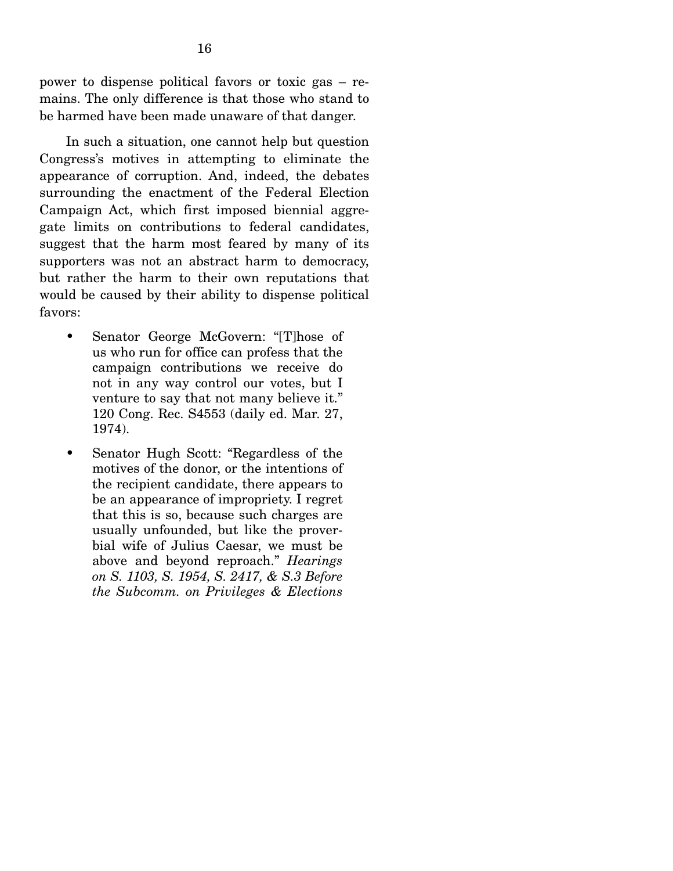power to dispense political favors or toxic gas – remains. The only difference is that those who stand to be harmed have been made unaware of that danger.

 In such a situation, one cannot help but question Congress's motives in attempting to eliminate the appearance of corruption. And, indeed, the debates surrounding the enactment of the Federal Election Campaign Act, which first imposed biennial aggregate limits on contributions to federal candidates, suggest that the harm most feared by many of its supporters was not an abstract harm to democracy, but rather the harm to their own reputations that would be caused by their ability to dispense political favors:

- Senator George McGovern: "[T]hose of us who run for office can profess that the campaign contributions we receive do not in any way control our votes, but I venture to say that not many believe it." 120 Cong. Rec. S4553 (daily ed. Mar. 27, 1974).
- Senator Hugh Scott: "Regardless of the motives of the donor, or the intentions of the recipient candidate, there appears to be an appearance of impropriety. I regret that this is so, because such charges are usually unfounded, but like the proverbial wife of Julius Caesar, we must be above and beyond reproach." *Hearings on S. 1103, S. 1954, S. 2417, & S.3 Before the Subcomm. on Privileges & Elections*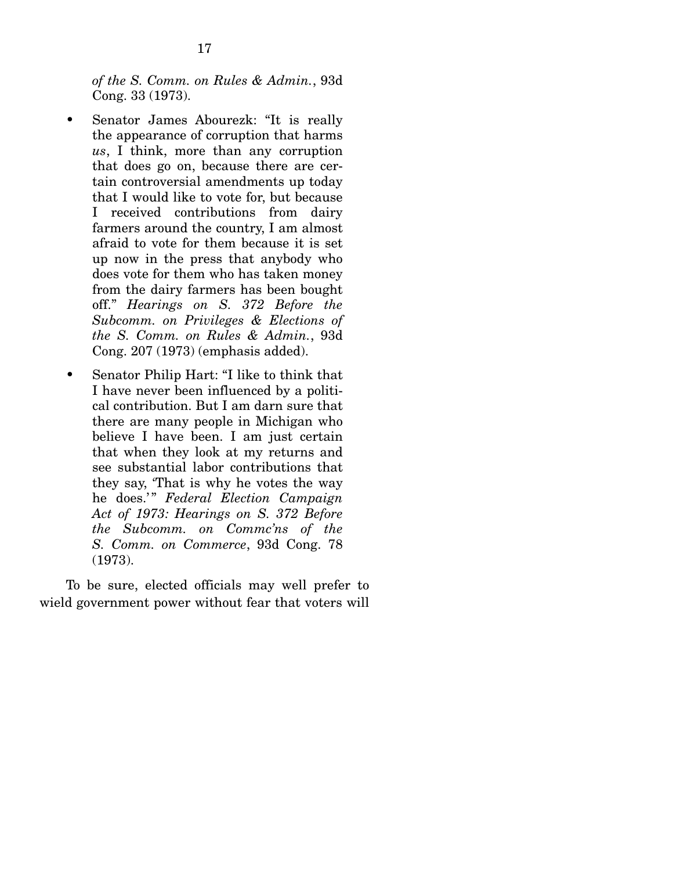*of the S. Comm. on Rules & Admin.*, 93d Cong. 33 (1973).

- Senator James Abourezk: "It is really the appearance of corruption that harms *us*, I think, more than any corruption that does go on, because there are certain controversial amendments up today that I would like to vote for, but because I received contributions from dairy farmers around the country, I am almost afraid to vote for them because it is set up now in the press that anybody who does vote for them who has taken money from the dairy farmers has been bought off." *Hearings on S. 372 Before the Subcomm. on Privileges & Elections of the S. Comm. on Rules & Admin.*, 93d Cong. 207 (1973) (emphasis added).
- Senator Philip Hart: "I like to think that I have never been influenced by a political contribution. But I am darn sure that there are many people in Michigan who believe I have been. I am just certain that when they look at my returns and see substantial labor contributions that they say, 'That is why he votes the way he does.' " *Federal Election Campaign Act of 1973: Hearings on S. 372 Before the Subcomm. on Commc'ns of the S. Comm. on Commerce*, 93d Cong. 78 (1973).

 To be sure, elected officials may well prefer to wield government power without fear that voters will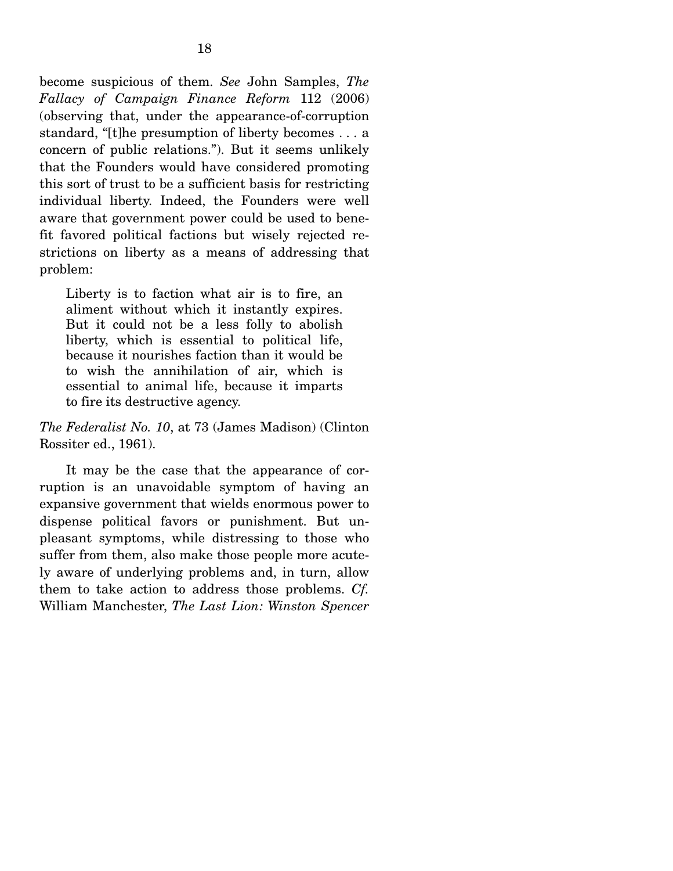become suspicious of them. *See* John Samples, *The Fallacy of Campaign Finance Reform* 112 (2006) (observing that, under the appearance-of-corruption standard, "[t]he presumption of liberty becomes . . . a concern of public relations."). But it seems unlikely that the Founders would have considered promoting this sort of trust to be a sufficient basis for restricting individual liberty. Indeed, the Founders were well aware that government power could be used to benefit favored political factions but wisely rejected restrictions on liberty as a means of addressing that problem:

Liberty is to faction what air is to fire, an aliment without which it instantly expires. But it could not be a less folly to abolish liberty, which is essential to political life, because it nourishes faction than it would be to wish the annihilation of air, which is essential to animal life, because it imparts to fire its destructive agency.

*The Federalist No. 10*, at 73 (James Madison) (Clinton Rossiter ed., 1961).

 It may be the case that the appearance of corruption is an unavoidable symptom of having an expansive government that wields enormous power to dispense political favors or punishment. But unpleasant symptoms, while distressing to those who suffer from them, also make those people more acutely aware of underlying problems and, in turn, allow them to take action to address those problems. *Cf.*  William Manchester, *The Last Lion: Winston Spencer*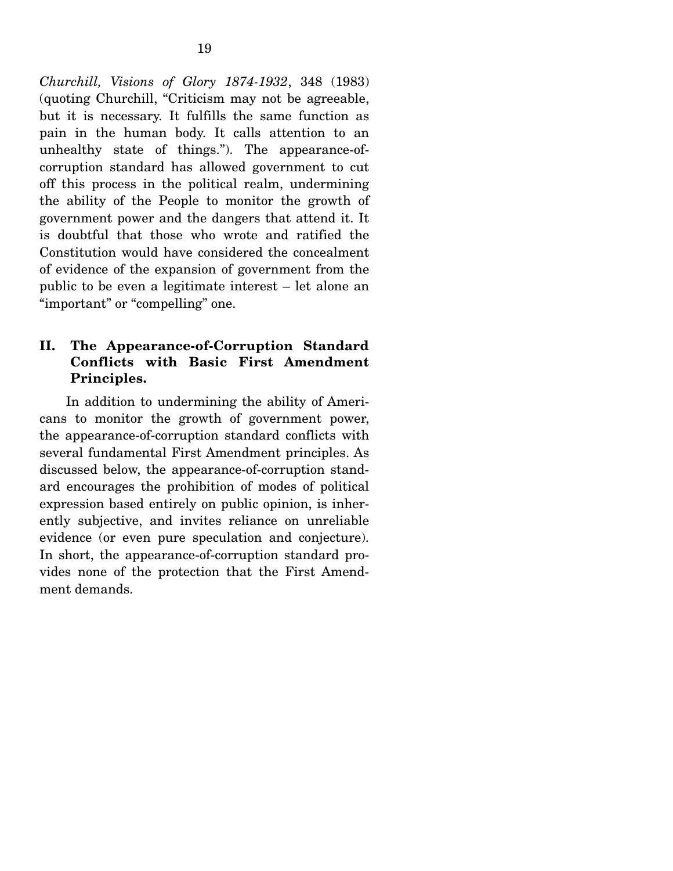*Churchill, Visions of Glory 1874-1932*, 348 (1983) (quoting Churchill, "Criticism may not be agreeable, but it is necessary. It fulfills the same function as pain in the human body. It calls attention to an unhealthy state of things."). The appearance-ofcorruption standard has allowed government to cut off this process in the political realm, undermining the ability of the People to monitor the growth of government power and the dangers that attend it. It is doubtful that those who wrote and ratified the Constitution would have considered the concealment of evidence of the expansion of government from the public to be even a legitimate interest – let alone an "important" or "compelling" one.

### **II. The Appearance-of-Corruption Standard Conflicts with Basic First Amendment Principles.**

 In addition to undermining the ability of Americans to monitor the growth of government power, the appearance-of-corruption standard conflicts with several fundamental First Amendment principles. As discussed below, the appearance-of-corruption standard encourages the prohibition of modes of political expression based entirely on public opinion, is inherently subjective, and invites reliance on unreliable evidence (or even pure speculation and conjecture). In short, the appearance-of-corruption standard provides none of the protection that the First Amendment demands.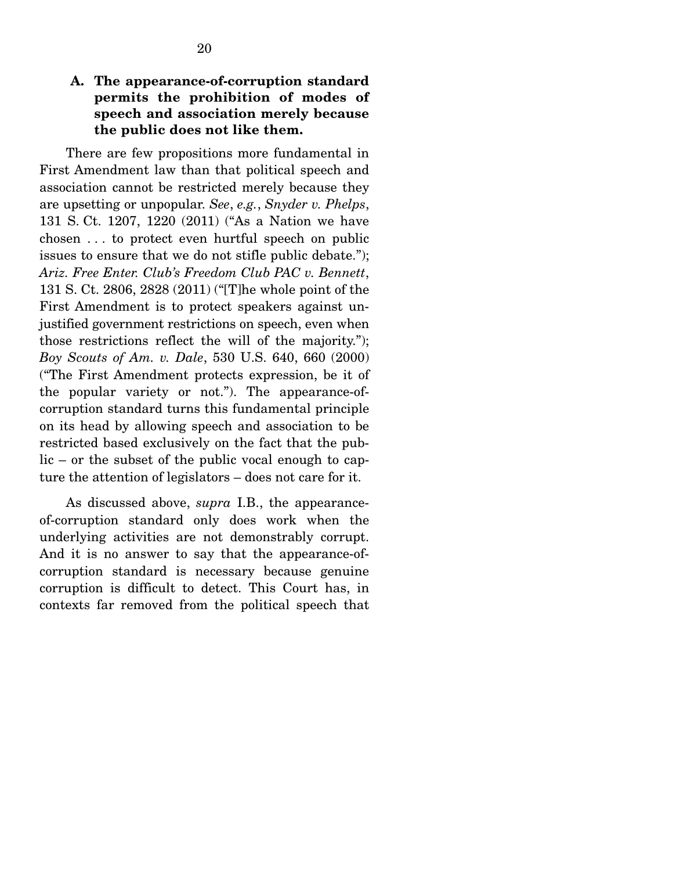## **A. The appearance-of-corruption standard permits the prohibition of modes of speech and association merely because the public does not like them.**

 There are few propositions more fundamental in First Amendment law than that political speech and association cannot be restricted merely because they are upsetting or unpopular. *See*, *e.g.*, *Snyder v. Phelps*, 131 S. Ct. 1207, 1220 (2011) ("As a Nation we have chosen . . . to protect even hurtful speech on public issues to ensure that we do not stifle public debate."); *Ariz. Free Enter. Club's Freedom Club PAC v. Bennett*, 131 S. Ct. 2806, 2828 (2011) ("[T]he whole point of the First Amendment is to protect speakers against unjustified government restrictions on speech, even when those restrictions reflect the will of the majority."); *Boy Scouts of Am. v. Dale*, 530 U.S. 640, 660 (2000) ("The First Amendment protects expression, be it of the popular variety or not."). The appearance-ofcorruption standard turns this fundamental principle on its head by allowing speech and association to be restricted based exclusively on the fact that the public – or the subset of the public vocal enough to capture the attention of legislators – does not care for it.

 As discussed above, *supra* I.B., the appearanceof-corruption standard only does work when the underlying activities are not demonstrably corrupt. And it is no answer to say that the appearance-ofcorruption standard is necessary because genuine corruption is difficult to detect. This Court has, in contexts far removed from the political speech that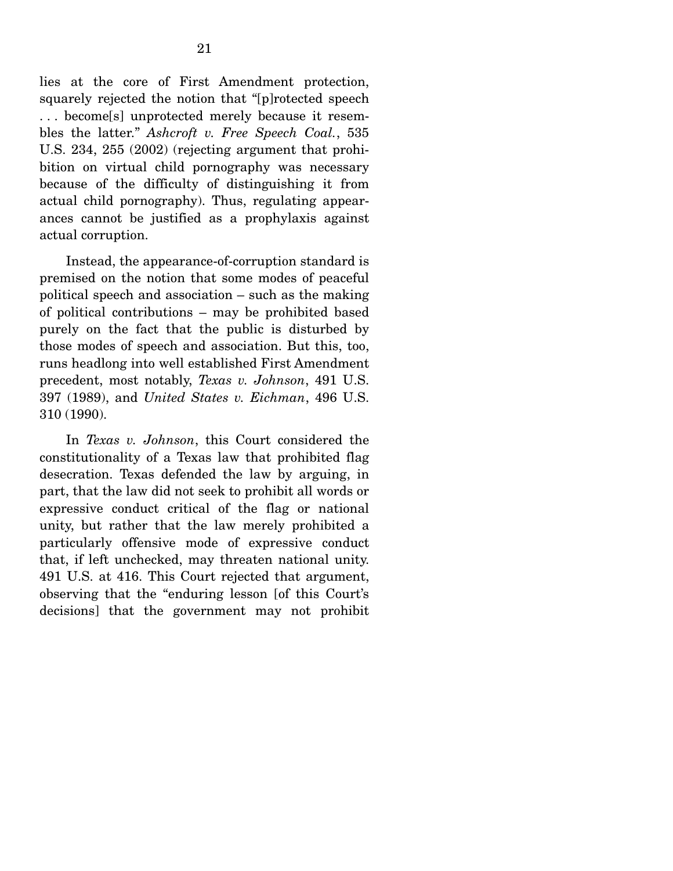lies at the core of First Amendment protection, squarely rejected the notion that "[p]rotected speech . . . become[s] unprotected merely because it resembles the latter." *Ashcroft v. Free Speech Coal.*, 535 U.S. 234, 255 (2002) (rejecting argument that prohibition on virtual child pornography was necessary because of the difficulty of distinguishing it from actual child pornography). Thus, regulating appearances cannot be justified as a prophylaxis against actual corruption.

 Instead, the appearance-of-corruption standard is premised on the notion that some modes of peaceful political speech and association – such as the making of political contributions – may be prohibited based purely on the fact that the public is disturbed by those modes of speech and association. But this, too, runs headlong into well established First Amendment precedent, most notably, *Texas v. Johnson*, 491 U.S. 397 (1989), and *United States v. Eichman*, 496 U.S. 310 (1990).

 In *Texas v. Johnson*, this Court considered the constitutionality of a Texas law that prohibited flag desecration. Texas defended the law by arguing, in part, that the law did not seek to prohibit all words or expressive conduct critical of the flag or national unity, but rather that the law merely prohibited a particularly offensive mode of expressive conduct that, if left unchecked, may threaten national unity. 491 U.S. at 416. This Court rejected that argument, observing that the "enduring lesson [of this Court's decisions] that the government may not prohibit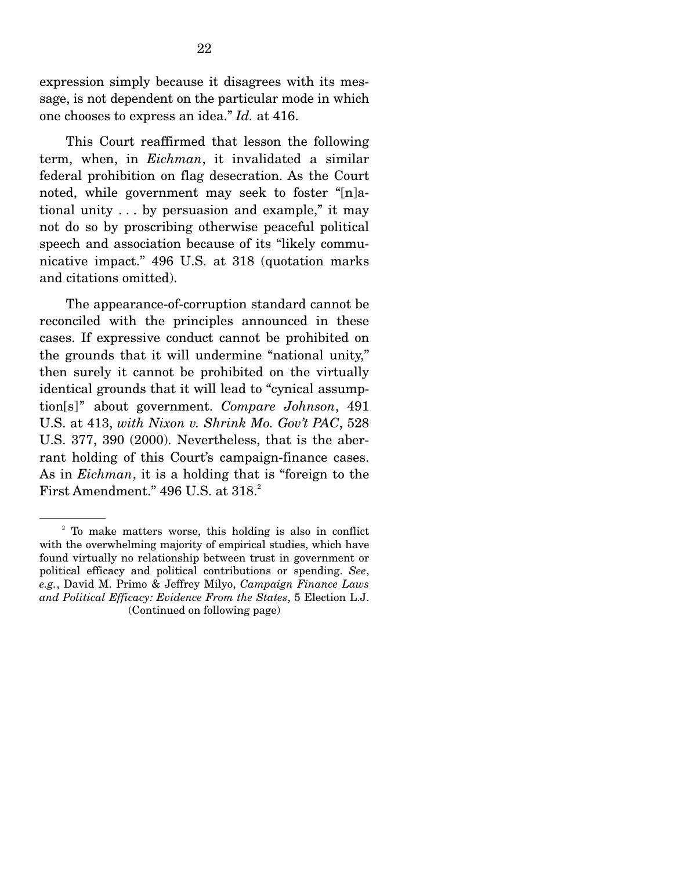expression simply because it disagrees with its message, is not dependent on the particular mode in which one chooses to express an idea." *Id.* at 416.

 This Court reaffirmed that lesson the following term, when, in *Eichman*, it invalidated a similar federal prohibition on flag desecration. As the Court noted, while government may seek to foster "[n]ational unity . . . by persuasion and example," it may not do so by proscribing otherwise peaceful political speech and association because of its "likely communicative impact." 496 U.S. at 318 (quotation marks and citations omitted).

 The appearance-of-corruption standard cannot be reconciled with the principles announced in these cases. If expressive conduct cannot be prohibited on the grounds that it will undermine "national unity," then surely it cannot be prohibited on the virtually identical grounds that it will lead to "cynical assumption[s]" about government. *Compare Johnson*, 491 U.S. at 413, *with Nixon v. Shrink Mo. Gov't PAC*, 528 U.S. 377, 390 (2000). Nevertheless, that is the aberrant holding of this Court's campaign-finance cases. As in *Eichman*, it is a holding that is "foreign to the First Amendment."  $496$  U.S. at  $318.<sup>2</sup>$ 

<sup>&</sup>lt;sup>2</sup> To make matters worse, this holding is also in conflict with the overwhelming majority of empirical studies, which have found virtually no relationship between trust in government or political efficacy and political contributions or spending. *See*, *e.g.*, David M. Primo & Jeffrey Milyo, *Campaign Finance Laws and Political Efficacy: Evidence From the States*, 5 Election L.J. (Continued on following page)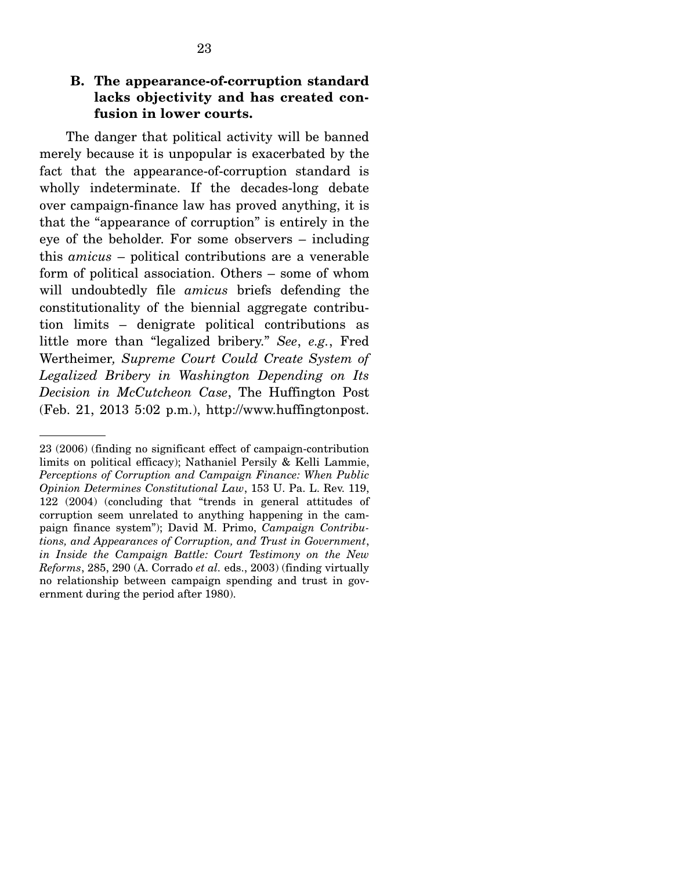### **B. The appearance-of-corruption standard lacks objectivity and has created confusion in lower courts.**

 The danger that political activity will be banned merely because it is unpopular is exacerbated by the fact that the appearance-of-corruption standard is wholly indeterminate. If the decades-long debate over campaign-finance law has proved anything, it is that the "appearance of corruption" is entirely in the eye of the beholder. For some observers – including this *amicus* – political contributions are a venerable form of political association. Others – some of whom will undoubtedly file *amicus* briefs defending the constitutionality of the biennial aggregate contribution limits – denigrate political contributions as little more than "legalized bribery." *See*, *e.g.*, Fred Wertheimer*, Supreme Court Could Create System of Legalized Bribery in Washington Depending on Its Decision in McCutcheon Case*, The Huffington Post (Feb. 21, 2013 5:02 p.m.), http://www.huffingtonpost.

<sup>23 (2006) (</sup>finding no significant effect of campaign-contribution limits on political efficacy); Nathaniel Persily & Kelli Lammie, *Perceptions of Corruption and Campaign Finance: When Public Opinion Determines Constitutional Law*, 153 U. Pa. L. Rev. 119, 122 (2004) (concluding that "trends in general attitudes of corruption seem unrelated to anything happening in the campaign finance system"); David M. Primo, *Campaign Contributions, and Appearances of Corruption, and Trust in Government*, *in Inside the Campaign Battle: Court Testimony on the New Reforms*, 285, 290 (A. Corrado *et al.* eds., 2003) (finding virtually no relationship between campaign spending and trust in government during the period after 1980).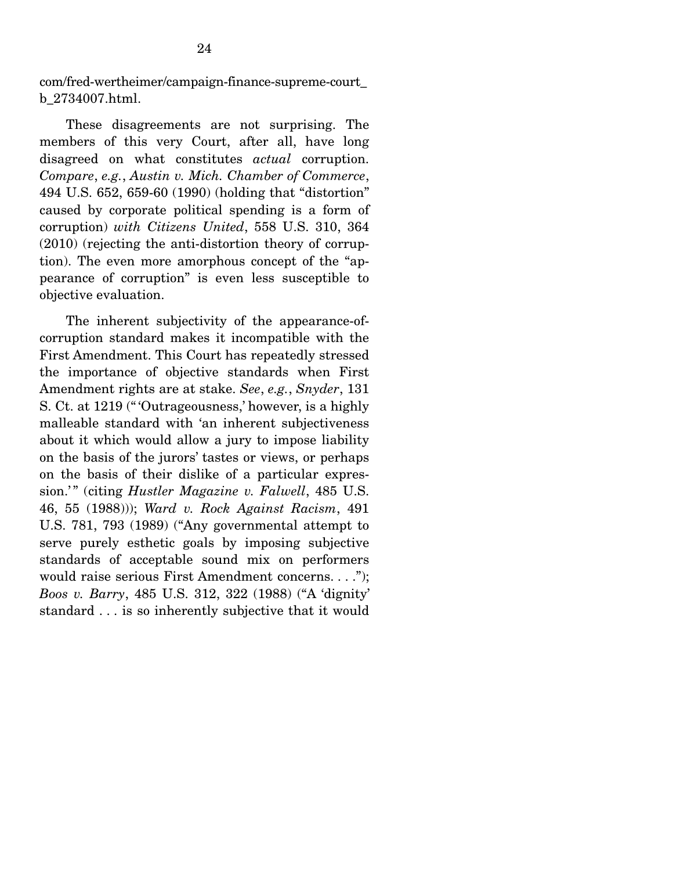com/fred-wertheimer/campaign-finance-supreme-court\_ b\_2734007.html.

 These disagreements are not surprising. The members of this very Court, after all, have long disagreed on what constitutes *actual* corruption. *Compare*, *e.g.*, *Austin v. Mich. Chamber of Commerce*, 494 U.S. 652, 659-60 (1990) (holding that "distortion" caused by corporate political spending is a form of corruption) *with Citizens United*, 558 U.S. 310, 364 (2010) (rejecting the anti-distortion theory of corruption). The even more amorphous concept of the "appearance of corruption" is even less susceptible to objective evaluation.

 The inherent subjectivity of the appearance-ofcorruption standard makes it incompatible with the First Amendment. This Court has repeatedly stressed the importance of objective standards when First Amendment rights are at stake. *See*, *e.g.*, *Snyder*, 131 S. Ct. at 1219 (" 'Outrageousness,' however, is a highly malleable standard with 'an inherent subjectiveness about it which would allow a jury to impose liability on the basis of the jurors' tastes or views, or perhaps on the basis of their dislike of a particular expression.'" (citing *Hustler Magazine v. Falwell*, 485 U.S. 46, 55 (1988))); *Ward v. Rock Against Racism*, 491 U.S. 781, 793 (1989) ("Any governmental attempt to serve purely esthetic goals by imposing subjective standards of acceptable sound mix on performers would raise serious First Amendment concerns. . . ."); *Boos v. Barry*, 485 U.S. 312, 322 (1988) ("A 'dignity' standard . . . is so inherently subjective that it would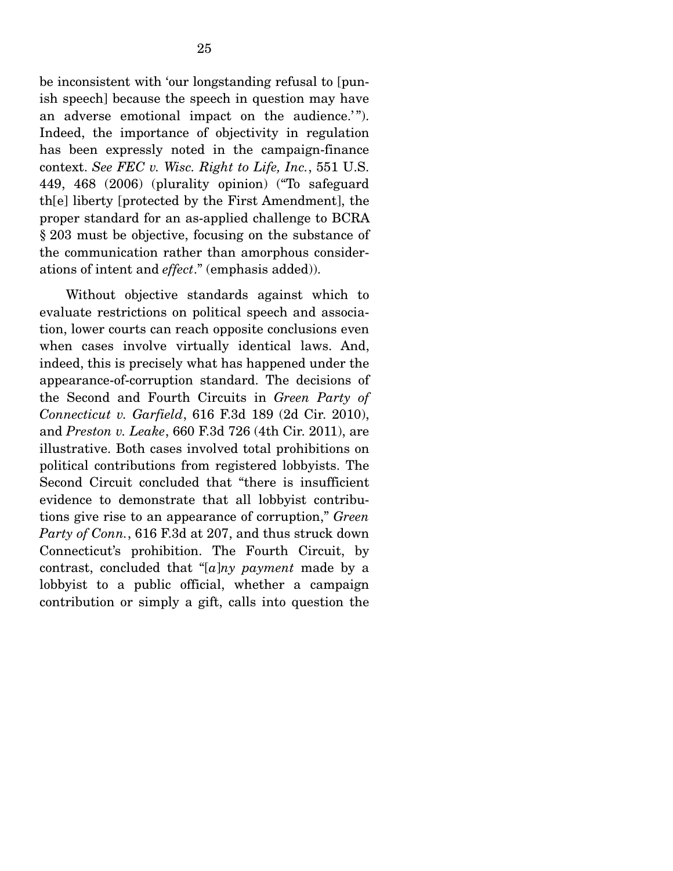be inconsistent with 'our longstanding refusal to [punish speech] because the speech in question may have an adverse emotional impact on the audience.'". Indeed, the importance of objectivity in regulation has been expressly noted in the campaign-finance context. *See FEC v. Wisc. Right to Life, Inc.*, 551 U.S. 449, 468 (2006) (plurality opinion) ("To safeguard th[e] liberty [protected by the First Amendment], the proper standard for an as-applied challenge to BCRA § 203 must be objective, focusing on the substance of the communication rather than amorphous considerations of intent and *effect*." (emphasis added)).

 Without objective standards against which to evaluate restrictions on political speech and association, lower courts can reach opposite conclusions even when cases involve virtually identical laws. And, indeed, this is precisely what has happened under the appearance-of-corruption standard. The decisions of the Second and Fourth Circuits in *Green Party of Connecticut v. Garfield*, 616 F.3d 189 (2d Cir. 2010), and *Preston v. Leake*, 660 F.3d 726 (4th Cir. 2011), are illustrative. Both cases involved total prohibitions on political contributions from registered lobbyists. The Second Circuit concluded that "there is insufficient evidence to demonstrate that all lobbyist contributions give rise to an appearance of corruption," *Green Party of Conn.*, 616 F.3d at 207, and thus struck down Connecticut's prohibition. The Fourth Circuit, by contrast, concluded that "[*a*]*ny payment* made by a lobbyist to a public official, whether a campaign contribution or simply a gift, calls into question the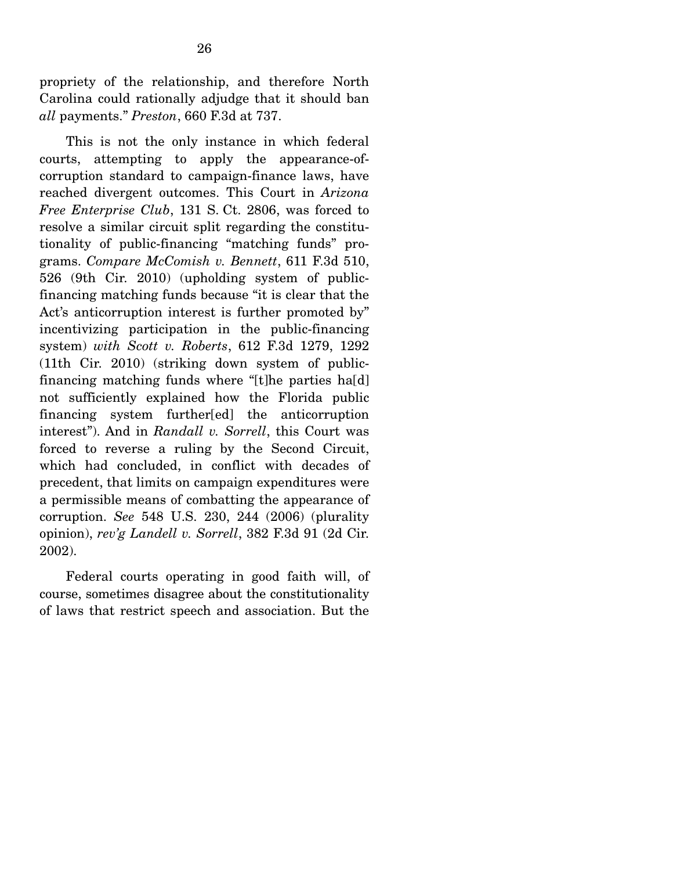propriety of the relationship, and therefore North Carolina could rationally adjudge that it should ban *all* payments." *Preston*, 660 F.3d at 737.

 This is not the only instance in which federal courts, attempting to apply the appearance-ofcorruption standard to campaign-finance laws, have reached divergent outcomes. This Court in *Arizona Free Enterprise Club*, 131 S. Ct. 2806, was forced to resolve a similar circuit split regarding the constitutionality of public-financing "matching funds" programs. *Compare McComish v. Bennett*, 611 F.3d 510, 526 (9th Cir. 2010) (upholding system of publicfinancing matching funds because "it is clear that the Act's anticorruption interest is further promoted by" incentivizing participation in the public-financing system) *with Scott v. Roberts*, 612 F.3d 1279, 1292 (11th Cir. 2010) (striking down system of publicfinancing matching funds where "[t]he parties ha[d] not sufficiently explained how the Florida public financing system further[ed] the anticorruption interest"). And in *Randall v. Sorrell*, this Court was forced to reverse a ruling by the Second Circuit, which had concluded, in conflict with decades of precedent, that limits on campaign expenditures were a permissible means of combatting the appearance of corruption. *See* 548 U.S. 230, 244 (2006) (plurality opinion), *rev'g Landell v. Sorrell*, 382 F.3d 91 (2d Cir. 2002).

 Federal courts operating in good faith will, of course, sometimes disagree about the constitutionality of laws that restrict speech and association. But the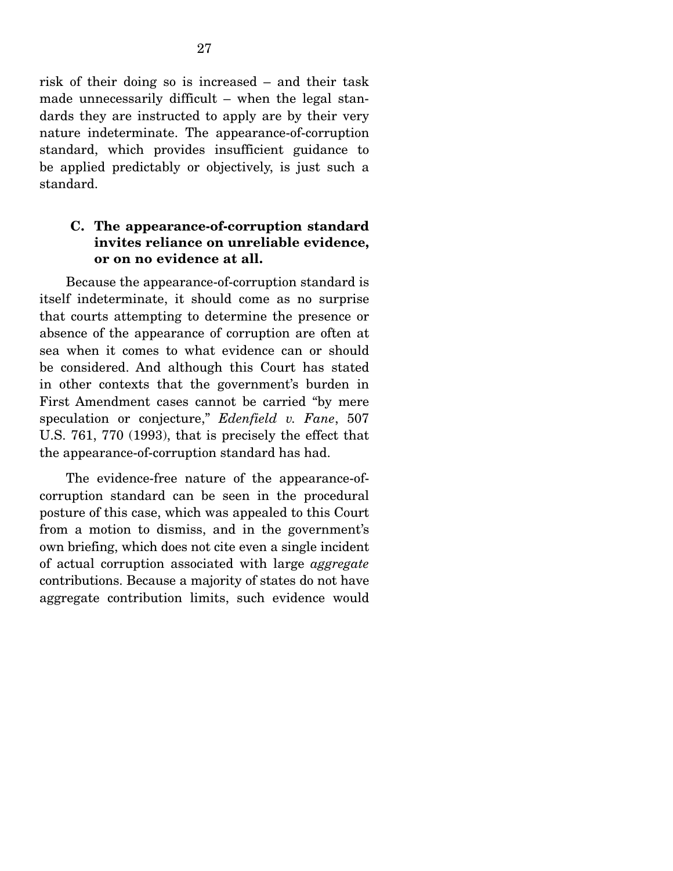risk of their doing so is increased – and their task made unnecessarily difficult – when the legal standards they are instructed to apply are by their very nature indeterminate. The appearance-of-corruption standard, which provides insufficient guidance to be applied predictably or objectively, is just such a standard.

### **C. The appearance-of-corruption standard invites reliance on unreliable evidence, or on no evidence at all.**

 Because the appearance-of-corruption standard is itself indeterminate, it should come as no surprise that courts attempting to determine the presence or absence of the appearance of corruption are often at sea when it comes to what evidence can or should be considered. And although this Court has stated in other contexts that the government's burden in First Amendment cases cannot be carried "by mere speculation or conjecture," *Edenfield v. Fane*, 507 U.S. 761, 770 (1993), that is precisely the effect that the appearance-of-corruption standard has had.

 The evidence-free nature of the appearance-ofcorruption standard can be seen in the procedural posture of this case, which was appealed to this Court from a motion to dismiss, and in the government's own briefing, which does not cite even a single incident of actual corruption associated with large *aggregate* contributions. Because a majority of states do not have aggregate contribution limits, such evidence would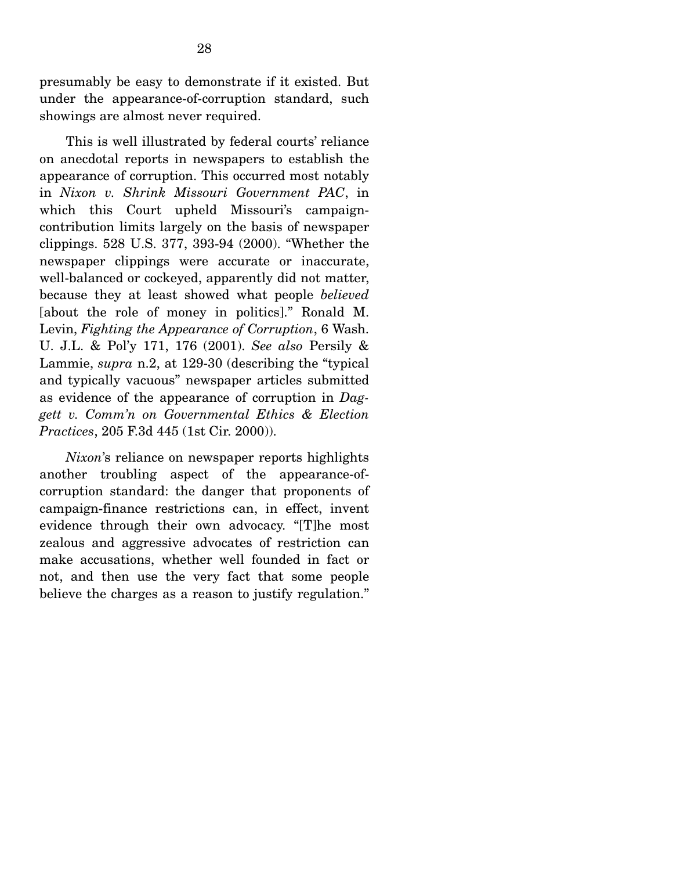presumably be easy to demonstrate if it existed. But under the appearance-of-corruption standard, such showings are almost never required.

 This is well illustrated by federal courts' reliance on anecdotal reports in newspapers to establish the appearance of corruption. This occurred most notably in *Nixon v. Shrink Missouri Government PAC*, in which this Court upheld Missouri's campaigncontribution limits largely on the basis of newspaper clippings. 528 U.S. 377, 393-94 (2000). "Whether the newspaper clippings were accurate or inaccurate, well-balanced or cockeyed, apparently did not matter, because they at least showed what people *believed* [about the role of money in politics]." Ronald M. Levin, *Fighting the Appearance of Corruption*, 6 Wash. U. J.L. & Pol'y 171, 176 (2001). *See also* Persily & Lammie, *supra* n.2, at 129-30 (describing the "typical and typically vacuous" newspaper articles submitted as evidence of the appearance of corruption in *Daggett v. Comm'n on Governmental Ethics & Election Practices*, 205 F.3d 445 (1st Cir. 2000)).

*Nixon*'s reliance on newspaper reports highlights another troubling aspect of the appearance-ofcorruption standard: the danger that proponents of campaign-finance restrictions can, in effect, invent evidence through their own advocacy. "[T]he most zealous and aggressive advocates of restriction can make accusations, whether well founded in fact or not, and then use the very fact that some people believe the charges as a reason to justify regulation."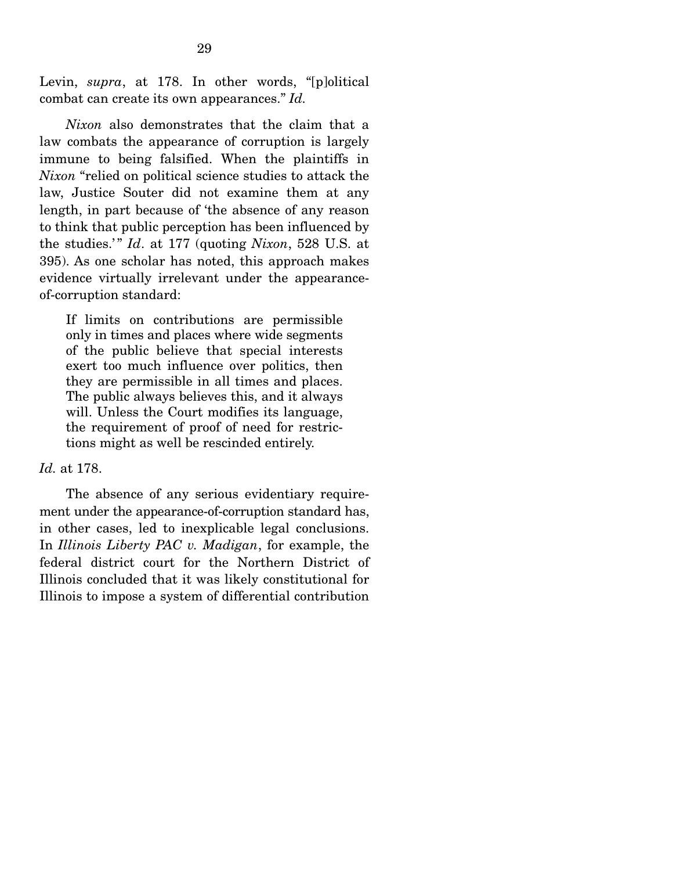Levin, *supra*, at 178. In other words, "[p]olitical combat can create its own appearances." *Id.*

*Nixon* also demonstrates that the claim that a law combats the appearance of corruption is largely immune to being falsified. When the plaintiffs in *Nixon* "relied on political science studies to attack the law, Justice Souter did not examine them at any length, in part because of 'the absence of any reason to think that public perception has been influenced by the studies.'" *Id.* at 177 (quoting *Nixon*, 528 U.S. at 395). As one scholar has noted, this approach makes evidence virtually irrelevant under the appearanceof-corruption standard:

If limits on contributions are permissible only in times and places where wide segments of the public believe that special interests exert too much influence over politics, then they are permissible in all times and places. The public always believes this, and it always will. Unless the Court modifies its language, the requirement of proof of need for restrictions might as well be rescinded entirely.

#### *Id.* at 178.

 The absence of any serious evidentiary requirement under the appearance-of-corruption standard has, in other cases, led to inexplicable legal conclusions. In *Illinois Liberty PAC v. Madigan*, for example, the federal district court for the Northern District of Illinois concluded that it was likely constitutional for Illinois to impose a system of differential contribution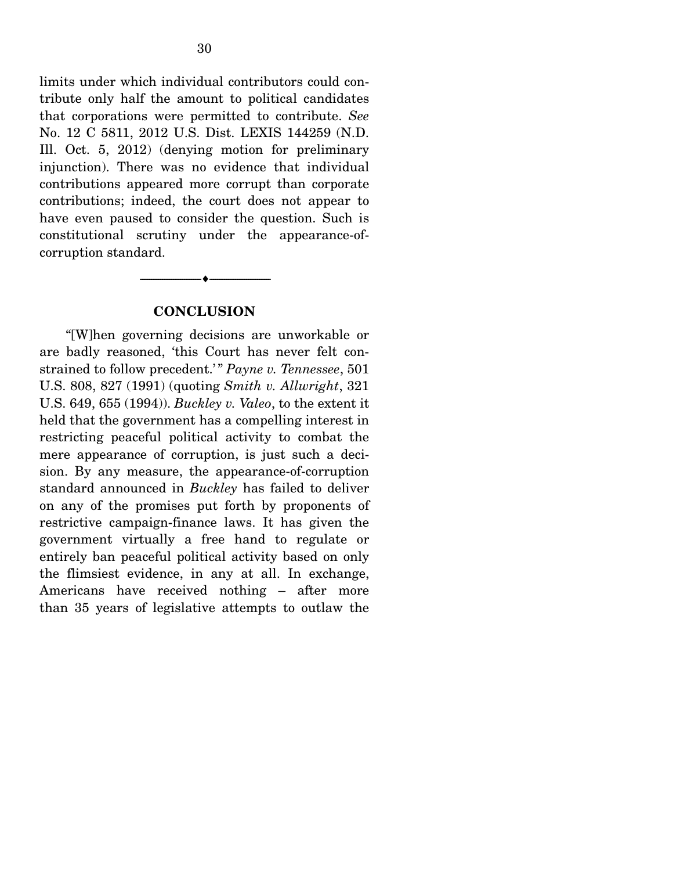limits under which individual contributors could contribute only half the amount to political candidates that corporations were permitted to contribute. *See*  No. 12 C 5811, 2012 U.S. Dist. LEXIS 144259 (N.D. Ill. Oct. 5, 2012) (denying motion for preliminary injunction). There was no evidence that individual contributions appeared more corrupt than corporate contributions; indeed, the court does not appear to have even paused to consider the question. Such is constitutional scrutiny under the appearance-ofcorruption standard.

#### **CONCLUSION**

--------------------------------- ---------------------------------

 "[W]hen governing decisions are unworkable or are badly reasoned, 'this Court has never felt constrained to follow precedent.'" Payne v. Tennessee, 501 U.S. 808, 827 (1991) (quoting *Smith v. Allwright*, 321 U.S. 649, 655 (1994)). *Buckley v. Valeo*, to the extent it held that the government has a compelling interest in restricting peaceful political activity to combat the mere appearance of corruption, is just such a decision. By any measure, the appearance-of-corruption standard announced in *Buckley* has failed to deliver on any of the promises put forth by proponents of restrictive campaign-finance laws. It has given the government virtually a free hand to regulate or entirely ban peaceful political activity based on only the flimsiest evidence, in any at all. In exchange, Americans have received nothing – after more than 35 years of legislative attempts to outlaw the